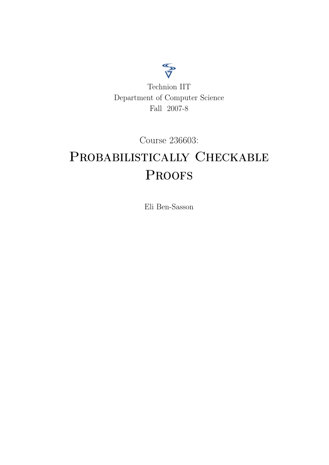

Course 236603:

# PROBABILISTICALLY CHECKABLE **PROOFS**

Eli Ben-Sasson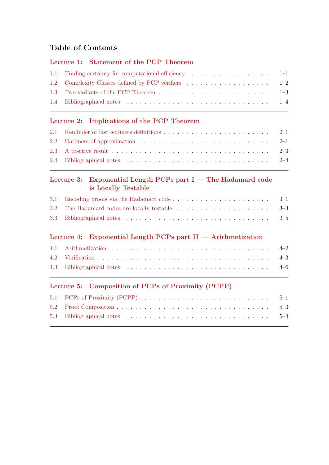# Table of Contents

# [Lecture 1: Statement of the PCP Theorem](#page-4-0)

| 1.1 Trading certainty for computational efficiency 1–1 |  |
|--------------------------------------------------------|--|
|                                                        |  |
|                                                        |  |
|                                                        |  |
|                                                        |  |

# [Lecture 2: Implications of the PCP Theorem](#page-9-0)

| 2.2 Hardness of approximation $\ldots \ldots \ldots \ldots \ldots \ldots \ldots \ldots \ldots \ldots$ 2-1 |  |
|-----------------------------------------------------------------------------------------------------------|--|
|                                                                                                           |  |
|                                                                                                           |  |

# [Lecture 3: Exponential Length PCPs part I — The Hadamard code](#page-13-0) [is Locally Testable](#page-13-0)

# [Lecture 4: Exponential Length PCPs part II — Arithmetization](#page-18-0)

# [Lecture 5: Composition of PCPs of Proximity \(PCPP\)](#page-24-0)

| 5.1 PCPs of Proximity (PCPP) $\ldots \ldots \ldots \ldots \ldots \ldots \ldots \ldots \ldots \ldots \ldots 5-1$ |  |
|-----------------------------------------------------------------------------------------------------------------|--|
|                                                                                                                 |  |
|                                                                                                                 |  |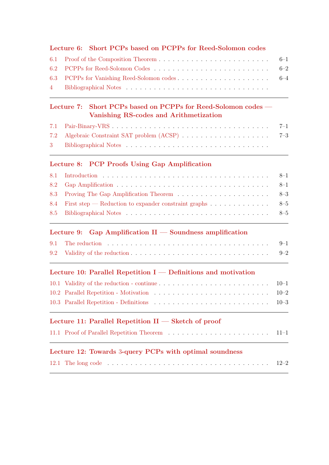# [Lecture 6: Short PCPs based on PCPPs for Reed-Solomon codes](#page-28-0)

# [Lecture 7: Short PCPs based on PCPPs for Reed-Solomon codes —](#page-34-0) [Vanishing RS-codes and Arithmetization](#page-34-0)

# [Lecture 8: PCP Proofs Using Gap Amplification](#page-38-0)

| 8.4 First step — Reduction to expander constraint graphs 8–5 |  |
|--------------------------------------------------------------|--|
|                                                              |  |

# [Lecture 9: Gap Amplification II — Soundness amplification](#page-43-0)

| 9.1 The reduction $\ldots \ldots \ldots \ldots \ldots \ldots \ldots \ldots \ldots \ldots \ldots \ldots$ |  |
|---------------------------------------------------------------------------------------------------------|--|
|                                                                                                         |  |

# [Lecture 10: Parallel Repetition I — Definitions and motivation](#page-48-0)

| 10.1 Validity of the reduction - continue $\ldots \ldots \ldots \ldots \ldots \ldots \ldots \ldots \ldots \ldots 10-1$ |  |
|------------------------------------------------------------------------------------------------------------------------|--|
|                                                                                                                        |  |
|                                                                                                                        |  |

# [Lecture 11: Parallel Repetition II — Sketch of proof](#page-52-0)

|--|--|--|--|--|--|--|--|--|--|--|--|--|--|--|--|--|--|--|--|--|--|--|--|--|

# Lecture 12: Towards 3[-query PCPs with optimal soundness](#page-55-0)

|--|--|--|--|--|--|--|--|--|--|--|--|--|--|--|--|--|--|--|--|--|--|--|--|--|--|--|--|--|--|--|--|--|--|--|--|--|--|--|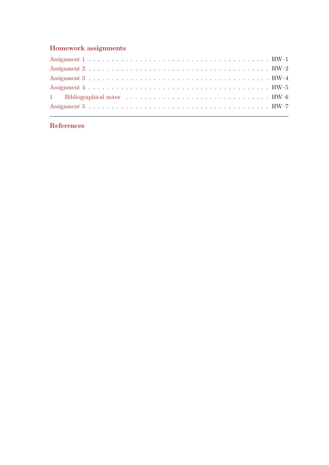# [Homework assignments](#page-58-0)

# [References](#page-65-0)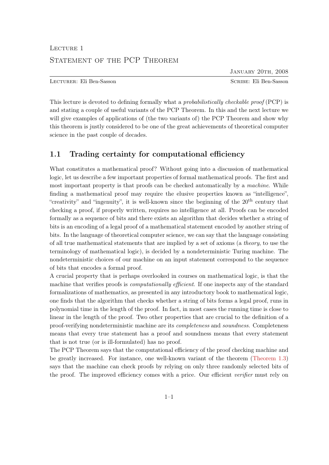# <span id="page-4-0"></span>LECTURE 1 STATEMENT OF THE PCP THEOREM

JANUARY 20TH, 2008

Lecturer: Eli Ben-Sasson Scribe: Eli Ben-Sasson

This lecture is devoted to defining formally what a *probabilistically checkable proof* (PCP) is and stating a couple of useful variants of the PCP Theorem. In this and the next lecture we will give examples of applications of (the two variants of) the PCP Theorem and show why this theorem is justly considered to be one of the great achievements of theoretical computer science in the past couple of decades.

# <span id="page-4-1"></span>1.1 Trading certainty for computational efficiency

What constitutes a mathematical proof? Without going into a discussion of mathematical logic, let us describe a few important properties of formal mathematical proofs. The first and most important property is that proofs can be checked automatically by a machine. While finding a mathematical proof may require the elusive properties known as "intelligence", "creativity" and "ingenuity", it is well-known since the beginning of the  $20<sup>th</sup>$  century that checking a proof, if properly written, requires no intelligence at all. Proofs can be encoded formally as a sequence of bits and there exists an algorithm that decides whether a string of bits is an encoding of a legal proof of a mathematical statement encoded by another string of bits. In the language of theoretical computer science, we can say that the language consisting of all true mathematical statements that are implied by a set of axioms (a theory, to use the terminology of mathematical logic), is decided by a nondeterministic Turing machine. The nondeterministic choices of our machine on an input statement correspond to the sequence of bits that encodes a formal proof.

A crucial property that is perhaps overlooked in courses on mathematical logic, is that the machine that verifies proofs is *computationally efficient*. If one inspects any of the standard formalizations of mathematics, as presented in any introductory book to mathematical logic, one finds that the algorithm that checks whether a string of bits forms a legal proof, runs in polynomial time in the length of the proof. In fact, in most cases the running time is close to linear in the length of the proof. Two other properties that are crucial to the definition of a proof-verifying nondeterministic machine are its completeness and soundness. Completeness means that every true statement has a proof and soundness means that every statement that is not true (or is ill-formulated) has no proof.

The PCP Theorem says that the computational efficiency of the proof checking machine and be greatly increased. For instance, one well-known variant of the theorem [\(Theorem 1.3\)](#page-6-1) says that the machine can check proofs by relying on only three randomly selected bits of the proof. The improved efficiency comes with a price. Our efficient verifier must rely on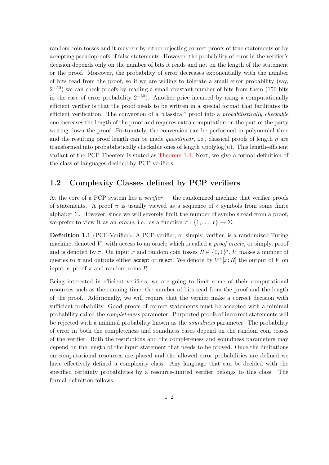random coin tosses and it may err by either rejecting correct proofs of true statements or by accepting pseudoproofs of false statements. However, the probability of error in the verifier's decision depends only on the number of bits it reads and not on the length of the statement or the proof. Moreover, the probability of error decreases exponentially with the number of bits read from the proof, so if we are willing to tolerate a small error probability (say,  $2^{-50}$ ) we can check proofs by reading a small constant number of bits from them (150 bits in the case of error probability  $2^{-50}$ ). Another price incurred by using a computationally efficient verifier is that the proof needs to be written in a special format that facilitates its efficient verification. The conversion of a "classical" proof into a probabilistically checkable one increases the length of the proof and requires extra computation on the part of the party writing down the proof. Fortunately, the conversion can be performed in polynomial time and the resulting proof length can be made quasilinear, i.e., classical proofs of length  $n$  are transformed into probabilistically checkable ones of length  $npolylog(n)$ . This length-efficient variant of the PCP Theorem is stated as [Theorem 1.4.](#page-7-1) Next, we give a formal definition of the class of languages decided by PCP verifiers.

# <span id="page-5-0"></span>1.2 Complexity Classes defined by PCP verifiers

At the core of a PCP system lies a *verifier* — the randomized machine that verifier proofs of statements. A proof  $\pi$  is usually viewed as a sequence of  $\ell$  symbols from some finite alphabet  $\Sigma$ . However, since we will severely limit the number of symbols read from a proof, we prefer to view it as an *oracle*, i.e., as a function  $\pi : \{1, \ldots, \ell\} \to \Sigma$ .

<span id="page-5-1"></span>Definition 1.1 (PCP-Verifier). A PCP-verifier, or simply, verifier, is a randomized Turing machine, denoted  $V$ , with access to an oracle which is called a *proof oracle*, or simply, proof and is denoted by  $\pi$ . On input x and random coin tosses  $R \in \{0,1\}^*$ , V makes a number of queries to  $\pi$  and outputs either accept or reject. We denote by  $V^{\pi}[x;R]$  the output of V on input x, proof  $\pi$  and random coins R.

Being interested in efficient verifiers, we are going to limit some of their computational resources such as the running time, the number of bits read from the proof and the length of the proof. Additionally, we will require that the verifier make a correct decision with sufficient probability. Good proofs of correct statements must be accepted with a minimal probability called the completeness parameter. Purported proofs of incorrect statements will be rejected with a minimal probability known as the soundness parameter. The probability of error in both the completeness and soundness cases depend on the random coin tosses of the verifier. Both the restrictions and the completeness and soundness parameters may depend on the length of the input statement that needs to be proved. Once the limitations on computational resources are placed and the allowed error probabilities are defined we have effectively defined a complexity class. Any language that can be decided with the specified certainty probabilities by a resource-limited verifier belongs to this class. The formal definition follows.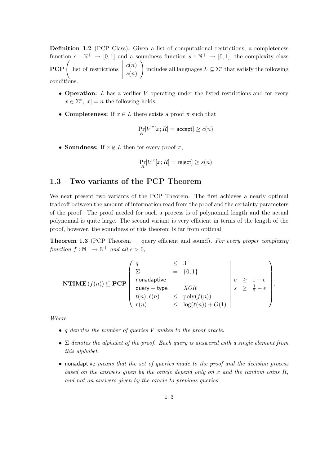Definition 1.2 (PCP Class). Given a list of computational restrictions, a completeness function  $c: \mathbb{N}^+ \to [0,1]$  and a soundness function  $s: \mathbb{N}^+ \to [0,1]$ , the complexity class  $PCP\left($  list of restrictions  $\begin{array}{c} \begin{array}{c} \begin{array}{c} \begin{array}{c} \end{array}\\ \end{array} \end{array} \end{array}$  $c(n)$  $s(n)$  $\setminus$ includes all languages  $L \subseteq \Sigma^*$  that satisfy the following conditions.

- Operation:  $L$  has a verifier  $V$  operating under the listed restrictions and for every  $x \in \Sigma^*$ ,  $|x| = n$  the following holds.
- Completeness: If  $x \in L$  there exists a proof  $\pi$  such that

$$
\Pr_R[V^\pi[x;R] = \text{accept}] \ge c(n).
$$

• Soundness: If  $x \notin L$  then for every proof  $\pi$ ,

$$
\Pr_R[V^\pi[x;R] = \text{reject}] \geq s(n).
$$

# <span id="page-6-0"></span>1.3 Two variants of the PCP Theorem

We next present two variants of the PCP Theorem. The first achieves a nearly optimal tradeoff between the amount of information read from the proof and the certainty parameters of the proof. The proof needed for such a process is of polynomial length and the actual polynomial is quite large. The second variant is very efficient in terms of the length of the proof, however, the soundness of this theorem is far from optimal.

<span id="page-6-1"></span>**Theorem 1.3** (PCP Theorem  $-$  query efficient and sound). For every proper complexity function  $f : \mathbb{N}^+ \to \mathbb{N}^+$  and all  $\epsilon > 0$ ,

$$
\mathbf{NTIME}(f(n)) \subseteq \mathbf{PCP}\left(\begin{array}{cccc} q & \leq & 3 \\ \Sigma & = & \{0,1\} \\ \text{nonadaptive} \\ \text{query - type} & XOR \\ t(n), \ell(n) & \leq & \text{poly}(f(n)) \\ r(n) & \leq & \text{log}(\ell(n)) + O(1) \end{array}\right) \begin{array}{c} c & \geq & 1 - \epsilon \\ s & \geq & \frac{1}{2} - \epsilon \\ \end{array}\right).
$$

Where

- q denotes the number of queries V makes to the proof oracle.
- $\Sigma$  denotes the alphabet of the proof. Each query is answered with a single element from this alphabet.
- nonadaptive means that the set of queries made to the proof and the decision process based on the answers given by the oracle depend only on x and the random coins  $R$ . and not on answers given by the oracle to previous queries.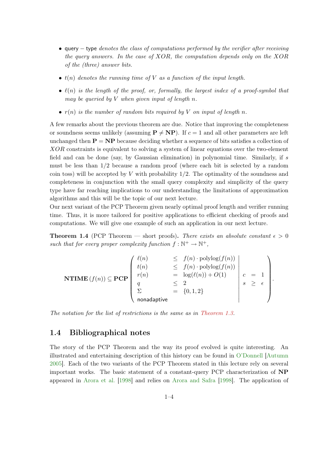- query  $-$  type denotes the class of computations performed by the verifier after receiving the query answers. In the case of  $XOR$ , the computation depends only on the  $XOR$ of the (three) answer bits.
- $t(n)$  denotes the running time of V as a function of the input length.
- $\ell(n)$  is the length of the proof, or, formally, the largest index of a proof-symbol that may be queried by  $V$  when given input of length  $n$ .
- $r(n)$  is the number of random bits required by V on input of length n.

A few remarks about the previous theorem are due. Notice that improving the completeness or soundness seems unlikely (assuming  $P \neq NP$ ). If  $c = 1$  and all other parameters are left unchanged then  $P = NP$  because deciding whether a sequence of bits satisfies a collection of XOR constraints is equivalent to solving a system of linear equations over the two-element field and can be done (say, by Gaussian elimination) in polynomial time. Similarly, if s must be less than 1/2 because a random proof (where each bit is selected by a random coin toss) will be accepted by V with probability  $1/2$ . The optimality of the soundness and completeness in conjunction with the small query complexity and simplicity of the query type have far reaching implications to our understanding the limitations of approximation algorithms and this will be the topic of our next lecture.

Our next variant of the PCP Theorem given nearly optimal proof length and verifier running time. Thus, it is more tailored for positive applications to efficient checking of proofs and computations. We will give one example of such an application in our next lecture.

<span id="page-7-1"></span>**Theorem 1.4** (PCP Theorem – short proofs). There exists an absolute constant  $\epsilon > 0$ such that for every proper complexity function  $f : \mathbb{N}^+ \to \mathbb{N}^+,$ 

$$
\textbf{NTIME}(f(n)) \subseteq \textbf{PCP}\left(\begin{array}{ccc} \ell(n) & \leq & f(n) \cdot \text{polylog}(f(n)) \\ t(n) & \leq & f(n) \cdot \text{polylog}(f(n)) \\ r(n) & = & \log(\ell(n)) + O(1) \\ q & \leq & 2 \\ \sum & = & \{0, 1, 2\} \\ \text{nonadaptive} \end{array}\right) \quad c = 1 \\ \text{conadditive}
$$

.

The notation for the list of restrictions is the same as in [Theorem 1.3.](#page-6-1)

# <span id="page-7-0"></span>1.4 Bibliographical notes

The story of the PCP Theorem and the way its proof evolved is quite interesting. An illustrated and entertaining description of this history can be found in [O'Donnell](#page-66-0) [\[Autumn](#page-66-0) [2005\]](#page-66-0). Each of the two variants of the PCP Theorem stated in this lecture rely on several important works. The basic statement of a constant-query PCP characterization of NP appeared in [Arora et al.](#page-65-1) [\[1998\]](#page-65-1) and relies on [Arora and Safra](#page-65-2) [\[1998\]](#page-65-2). The application of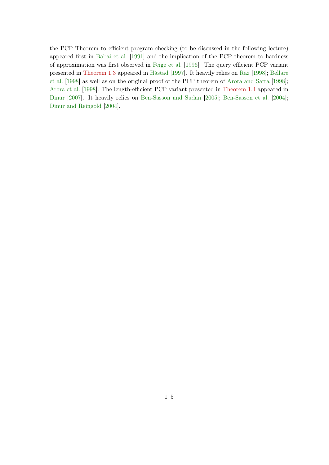the PCP Theorem to efficient program checking (to be discussed in the following lecture) appeared first in [Babai et al.](#page-65-3) [\[1991\]](#page-65-3) and the implication of the PCP theorem to hardness of approximation was first observed in [Feige et al.](#page-65-4) [\[1996\]](#page-65-4). The query efficient PCP variant presented in [Theorem 1.3](#page-6-1) appeared in [Håstad](#page-65-5) [\[1997\]](#page-65-5). It heavily relies on [Raz](#page-66-1) [\[1998\]](#page-66-1); [Bellare](#page-65-6) [et al.](#page-65-6) [\[1998\]](#page-65-6) as well as on the original proof of the PCP theorem of [Arora and Safra](#page-65-2) [\[1998\]](#page-65-2); [Arora et al.](#page-65-1) [\[1998\]](#page-65-1). The length-efficient PCP variant presented in [Theorem 1.4](#page-7-1) appeared in [Dinur](#page-65-7) [\[2007\]](#page-65-7). It heavily relies on [Ben-Sasson and Sudan](#page-65-8) [\[2005\]](#page-65-8); [Ben-Sasson et al.](#page-65-9) [\[2004\]](#page-65-9); [Dinur and Reingold](#page-65-10) [\[2004\]](#page-65-10).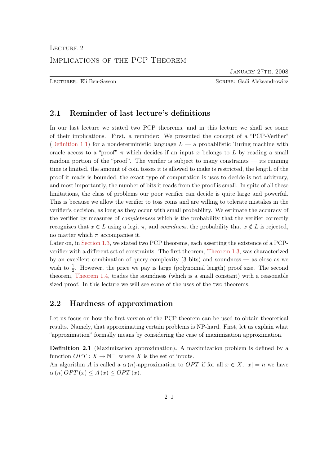January 27th, 2008

<span id="page-9-0"></span>Lecturer: Eli Ben-Sasson Scribe: Gadi Aleksandrowicz

# <span id="page-9-1"></span>2.1 Reminder of last lecture's definitions

In our last lecture we stated two PCP theorems, and in this lecture we shall see some of their implications. First, a reminder: We presented the concept of a "PCP-Verifier" [\(Definition 1.1\)](#page-5-1) for a nondeterministic language  $L - a$  probabilistic Turing machine with oracle access to a "proof"  $\pi$  which decides if an input x belongs to L by reading a small random portion of the "proof". The verifier is subject to many constraints — its running time is limited, the amount of coin tosses it is allowed to make is restricted, the length of the proof it reads is bounded, the exact type of computation is uses to decide is not arbitrary, and most importantly, the number of bits it reads from the proof is small. In spite of all these limitations, the class of problems our poor verifier can decide is quite large and powerful. This is because we allow the verifier to toss coins and are willing to tolerate mistakes in the verifier's decision, as long as they occur with small probability. We estimate the accuracy of the verifier by measures of *completeness* which is the probability that the verifier correctly recognizes that  $x \in L$  using a legit  $\pi$ , and soundness, the probability that  $x \notin L$  is rejected, no matter which  $\pi$  accompanies it.

Later on, in [Section 1.3,](#page-6-0) we stated two PCP theorems, each asserting the existence of a PCPverifier with a different set of constraints. The first theorem, [Theorem 1.3,](#page-6-1) was characterized by an excellent combination of query complexity (3 bits) and soundness — as close as we wish to  $\frac{1}{2}$ . However, the price we pay is large (polynomial length) proof size. The second theorem, [Theorem 1.4,](#page-7-1) trades the soundness (which is a small constant) with a reasonable sized proof. In this lecture we will see some of the uses of the two theorems.

# <span id="page-9-2"></span>2.2 Hardness of approximation

Let us focus on how the first version of the PCP theorem can be used to obtain theoretical results. Namely, that approximating certain problems is NP-hard. First, let us explain what "approximation" formally means by considering the case of maximization approximation.

Definition 2.1 (Maximization approximation). A maximization problem is defined by a function  $OPT : X \to \mathbb{N}^+$ , where X is the set of inputs.

An algorithm A is called a  $\alpha(n)$ -approximation to OPT if for all  $x \in X$ ,  $|x| = n$  we have  $\alpha(n)$  OPT  $(x) \leq A(x) \leq OPT(x)$ .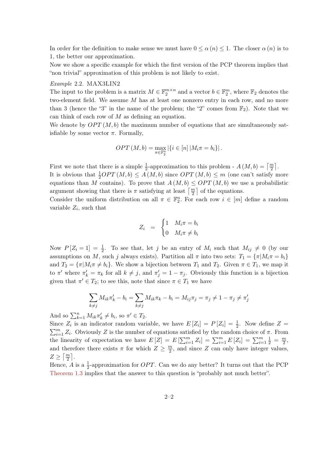In order for the definition to make sense we must have  $0 \le \alpha(n) \le 1$ . The closer  $\alpha(n)$  is to 1, the better our approximation.

Now we show a specific example for which the first version of the PCP theorem implies that "non trivial" approximation of this problem is not likely to exist.

#### Example 2.2. MAX3LIN2

The input to the problem is a matrix  $M \in \mathbb{F}_2^{m \times n}$  and a vector  $b \in \mathbb{F}_2^m$ , where  $\mathbb{F}_2$  denotes the two-element field. We assume M has at least one nonzero entry in each row, and no more than 3 (hence the "3" in the name of the problem; the "2" comes from  $\mathbb{F}_2$ ). Note that we can think of each row of  $M$  as defining an equation.

We denote by  $OPT(M, b)$  the maximum number of equations that are simultaneously satisfiable by some vector  $\pi$ . Formally,

$$
OPT (M, b) = \max_{\pi \in \mathbb{F}_2^n} |\{i \in [n] | M_i \pi = b_i\}|.
$$

First we note that there is a simple  $\frac{1}{2}$ -approximation to this problem -  $A(M,b) = \lceil \frac{m}{2} \rceil$ . It is obvious that  $\frac{1}{2}OPT(M, b) \leq A(M, b)$  since  $OPT(M, b) \leq m$  (one can't satisfy more equations than M contains). To prove that  $A(M, b) \leq OPT(M, b)$  we use a probabilistic argument showing that there is  $\pi$  satisfying at least  $\left\lceil \frac{m}{2} \right\rceil$  of the equations.

Consider the uniform distribution on all  $\pi \in \mathbb{F}_2^n$ . For each row  $i \in [m]$  define a random variable  $Z_i$ , such that

$$
Z_i = \begin{cases} 1 & M_i \pi = b_i \\ 0 & M_i \pi \neq b_i \end{cases}
$$

Now  $P[Z_i = 1] = \frac{1}{2}$ . To see that, let j be an entry of  $M_i$  such that  $M_{ij} \neq 0$  (by our assumptions on M, such j always exists). Partition all  $\pi$  into two sets:  $T_1 = {\pi | M_i \pi = b_i}$ and  $T_2 = {\pi | M_i \pi \neq b_i}$ . We show a bijection between  $T_1$  and  $T_2$ . Given  $\pi \in T_1$ , we map it to  $\pi'$  where  $\pi'_k = \pi_k$  for all  $k \neq j$ , and  $\pi'_j = 1 - \pi_j$ . Obviously this function is a bijection given that  $\pi' \in T_2$ ; to see this, note that since  $\pi \in T_1$  we have

$$
\sum_{k\neq j} M_{ik}\pi'_k - b_i = \sum_{k\neq j} M_{ik}\pi_k - b_i = M_{ij}\pi_j = \pi_j \neq 1 - \pi_j \neq \pi'_j
$$

And so  $\sum_{k=1}^{n} M_{ik} \pi'_{k} \neq b_{i}$ , so  $\pi' \in T_{2}$ .

Since  $Z_i$  is an indicator random variable, we have  $E[Z_i] = P[Z_i] = \frac{1}{2}$ . Now define  $Z =$  $\sum_{i=1}^{m} Z_i$ . Obviously Z is the number of equations satisfied by the random choice of  $\pi$ . From the linearity of expectation we have  $E[Z] = E[\sum_{i=1}^{m} Z_i] = \sum_{i=1}^{m} E[Z_i] = \sum_{i=1}^{m} \frac{1}{2} = \frac{m}{2}$  $\frac{m}{2}$ and therefore there exists  $\pi$  for which  $Z \geq \frac{m}{2}$  $\frac{m}{2}$ , and since Z can only have integer values,  $Z \geq \lceil \frac{m}{2} \rceil$ .

<span id="page-10-0"></span>Hence, A is a  $\frac{1}{2}$ -approximation for *OPT*. Can we do any better? It turns out that the PCP [Theorem 1.3](#page-6-1) implies that the answer to this question is "probably not much better".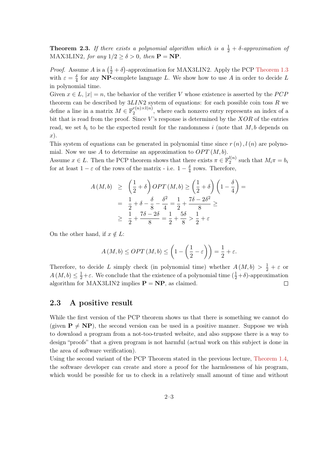**Theorem 2.3.** If there exists a polynomial algorithm which is a  $\frac{1}{2} + \delta$ -approximation of MAX3LIN2, for any  $1/2 \ge \delta > 0$ , then  $P = NP$ .

*Proof.* Assume A is a  $(\frac{1}{2} + \delta)$ -approximation for MAX3LIN2. Apply the PCP [Theorem 1.3](#page-6-1) with  $\varepsilon = \frac{\delta}{4}$  $\frac{\delta}{4}$  for any NP-complete language L. We show how to use A in order to decide L in polynomial time.

Given  $x \in L$ ,  $|x| = n$ , the behavior of the verifier V whose existence is asserted by the PCP theorem can be described by  $3LIN2$  system of equations: for each possible coin toss  $R$  we define a line in a matrix  $M \in \mathbb{F}_2^{r(n) \times l(n)}$  $\binom{r(n) \times l(n)}{2}$ , where each nonzero entry represents an index of a bit that is read from the proof. Since  $V$ 's response is determined by the  $XOR$  of the entries read, we set  $b_i$  to be the expected result for the randomness i (note that M, b depends on x).

This system of equations can be generated in polynomial time since  $r(n)$ ,  $l(n)$  are polynomial. Now we use  $A$  to determine an approximation to  $OPT(M, b)$ .

Assume  $x \in L$ . Then the PCP theorem shows that there exists  $\pi \in \mathbb{F}_2^{l(n)}$  $a_2^{(n)}$  such that  $M_i \pi = b_i$ for at least  $1 - \varepsilon$  of the rows of the matrix - i.e.  $1 - \frac{\delta}{4}$  $\frac{\delta}{4}$  rows. Therefore,

$$
A(M,b) \ge \left(\frac{1}{2} + \delta\right) OPT(M,b) \ge \left(\frac{1}{2} + \delta\right) \left(1 - \frac{\delta}{4}\right) =
$$
  
=  $\frac{1}{2} + \delta - \frac{\delta}{8} - \frac{\delta^2}{4} = \frac{1}{2} + \frac{7\delta - 2\delta^2}{8} \ge$   
 $\ge \frac{1}{2} + \frac{7\delta - 2\delta}{8} = \frac{1}{2} + \frac{5\delta}{8} > \frac{1}{2} + \varepsilon$ 

On the other hand, if  $x \notin L$ :

$$
A(M,b) \le OPT(M,b) \le \left(1 - \left(\frac{1}{2} - \varepsilon\right)\right) = \frac{1}{2} + \varepsilon.
$$

Therefore, to decide L simply check (in polynomial time) whether  $A(M,b) > \frac{1}{2} + \varepsilon$  or  $A(M, b) \leq \frac{1}{2} + \varepsilon$ . We conclude that the existence of a polynomial time  $(\frac{1}{2} + \delta)$ -approximation algorithm for MAX3LIN2 implies  $P = NP$ , as claimed.  $\Box$ 

# <span id="page-11-0"></span>2.3 A positive result

While the first version of the PCP theorem shows us that there is something we cannot do (given  $P \neq NP$ ), the second version can be used in a positive manner. Suppose we wish to download a program from a not-too-trusted website, and also suppose there is a way to design "proofs" that a given program is not harmful (actual work on this subject is done in the area of software verification).

Using the second variant of the PCP Theorem stated in the previous lecture, [Theorem 1.4,](#page-7-1) the software developer can create and store a proof for the harmlessness of his program, which would be possible for us to check in a relatively small amount of time and without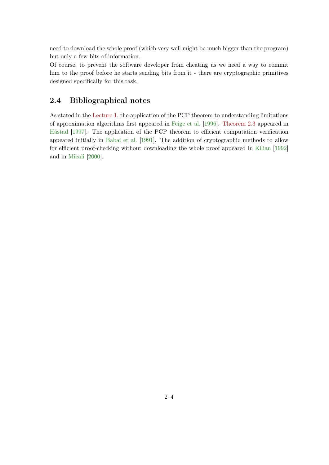need to download the whole proof (which very well might be much bigger than the program) but only a few bits of information.

Of course, to prevent the software developer from cheating us we need a way to commit him to the proof before he starts sending bits from it - there are cryptographic primitives designed specifically for this task.

# <span id="page-12-0"></span>2.4 Bibliographical notes

As stated in the [Lecture 1,](#page-4-0) the application of the PCP theorem to understanding limitations of approximation algorithms first appeared in [Feige et al.](#page-65-4) [\[1996\]](#page-65-4). [Theorem 2.3](#page-10-0) appeared in [Håstad](#page-65-5) [\[1997\]](#page-65-5). The application of the PCP theorem to efficient computation verification appeared initially in [Babai et al.](#page-65-3) [\[1991\]](#page-65-3). The addition of cryptographic methods to allow for efficient proof-checking without downloading the whole proof appeared in [Kilian](#page-66-2) [\[1992\]](#page-66-2) and in [Micali](#page-66-3) [\[2000\]](#page-66-3).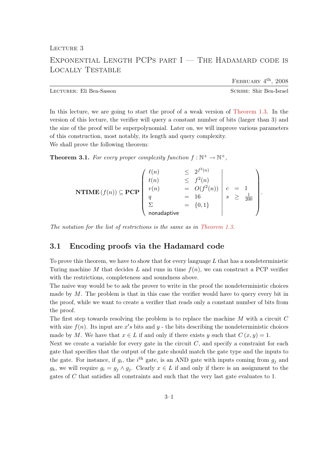<span id="page-13-0"></span>LECTURE 3

# EXPONENTIAL LENGTH PCPS PART  $I$  – The Hadamard code is Locally Testable

FEBRUARY  $4^{\text{th}}$ , 2008

Lecturer: Eli Ben-Sasson Scribe: Shir Ben-Israel

In this lecture, we are going to start the proof of a weak version of [Theorem 1.3.](#page-6-1) In the version of this lecture, the verifier will query a constant number of bits (larger than 3) and the size of the proof will be superpolynomial. Later on, we will improve various parameters of this construction, most notably, its length and query complexity. We shall prove the following theorem:

<span id="page-13-2"></span>**Theorem 3.1.** For every proper complexity function  $f : \mathbb{N}^+ \to \mathbb{N}^+$ ,

$$
\textbf{NTIME}(f(n)) \subseteq \textbf{PCP}\begin{pmatrix} \ell(n) & \leq 2^{f^2(n)} \\ t(n) & \leq f^2(n) \\ r(n) & = O(f^2(n)) \\ q & = 16 \\ \Sigma & = \{0, 1\} \\ \text{nonadaptive} \end{pmatrix} \cdot c = 1 \\ \text{onadaptive}
$$

The notation for the list of restrictions is the same as in [Theorem 1.3.](#page-6-1)

# <span id="page-13-1"></span>3.1 Encoding proofs via the Hadamard code

To prove this theorem, we have to show that for every language  $L$  that has a nondeterministic Turing machine M that decides L and runs in time  $f(n)$ , we can construct a PCP verifier with the restrictions, completeness and soundness above.

The naive way would be to ask the prover to write in the proof the nondeterministic choices made by M. The problem is that in this case the verifier would have to query every bit in the proof, while we want to create a verifier that reads only a constant number of bits from the proof.

The first step towards resolving the problem is to replace the machine M with a circuit C with size  $f(n)$ . Its input are  $x's$  bits and  $y$  - the bits describing the nondeterministic choices made by M. We have that  $x \in L$  if and only if there exists y such that  $C(x, y) = 1$ .

Next we create a variable for every gate in the circuit  $C$ , and specify a constraint for each gate that specifies that the output of the gate should match the gate type and the inputs to the gate. For instance, if  $g_i$ , the i<sup>th</sup> gate, is an AND gate with inputs coming from  $g_j$  and  $g_k$ , we will require  $g_i = g_j \wedge g_j$ . Clearly  $x \in L$  if and only if there is an assignment to the gates of C that satisfies all constraints and such that the very last gate evaluates to 1.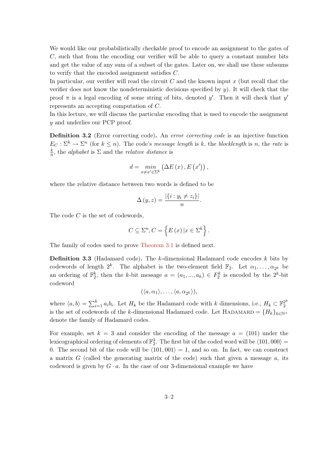We would like our probabilistically checkable proof to encode an assignment to the gates of C, such that from the encoding our verifier will be able to query a constant number bits and get the value of any sum of a subset of the gates. Later on, we shall use these subsums to verify that the encoded assignment satisfies C.

In particular, our verifier will read the circuit  $C$  and the known input  $x$  (but recall that the verifier does not know the nondeterministic decisions specified by  $y$ ). It will check that the proof  $\pi$  is a legal encoding of some string of bits, denoted y'. Then it will check that y' represents an accepting computation of C.

In this lecture, we will discuss the particular encoding that is used to encode the assignment y and underlies our PCP proof.

Definition 3.2 (Error correcting code). An error correcting code is an injective function  $E_C : \Sigma^k \to \Sigma^n$  (for  $k \leq n$ ). The code's message length is k, the blocklength is n, the rate is k  $\frac{k}{n}$ , the *alphabet* is  $\Sigma$  and the *relative distance* is

$$
d = \min_{x \neq x' \in \Sigma^{k}} \left( \Delta E(x), E(x') \right),
$$

where the relative distance between two words is defined to be

$$
\Delta(y, z) = \frac{|\{i : y_i \neq z_i\}|}{n}.
$$

The code  $C$  is the set of codewords,

$$
C \subseteq \Sigma^{n}, C = \left\{ E(x) \, | x \in \Sigma^{k} \right\}.
$$

<span id="page-14-0"></span>The family of codes used to prove [Theorem 3.1](#page-13-2) is defined next.

Definition 3.3 (Hadamard code). The k-dimensional Hadamard code encodes k bits by codewords of length  $2^k$ . The alphabet is the two-element field  $\mathbb{F}_2$ . Let  $\alpha_1, \ldots, \alpha_{2^k}$  be an ordering of  $\mathbb{F}_2^k$ , then the k-bit message  $a = (a_1, ..., a_k) \in F_2^k$  is encoded by the  $2^k$ -bit codeword

$$
(\langle a,\alpha_1\rangle,\ldots,\langle a,\alpha_{2^k}\rangle),
$$

where  $\langle a, b \rangle = \sum_{i=1}^k a_i b_i$ . Let  $H_k$  be the Hadamard code with k dimensions, i.e.,  $H_k \subset \mathbb{F}_2^{2^k}$ 2 is the set of codewords of the k-dimensional Hadamard code. Let HADAMARD =  ${H_k}_{k \in \mathbb{N}^+}$ denote the family of Hadamard codes.

For example, set  $k = 3$  and consider the encoding of the message  $a = (101)$  under the lexicographical ordering of elements of  $\mathbb{F}_2^3$ . The first bit of the coded word will be  $\langle 101, 000 \rangle =$ 0. The second bit of the code will be  $\langle 101, 001 \rangle = 1$ , and so on. In fact, we can construct a matrix  $G$  (called the generating matrix of the code) such that given a message  $a$ , its codeword is given by  $G \cdot a$ . In the case of our 3-dimensional example we have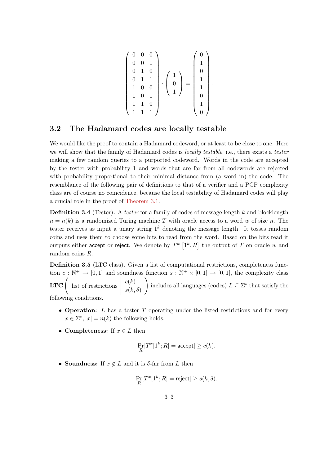$$
\begin{pmatrix} 0 & 0 & 0 \\ 0 & 0 & 1 \\ 0 & 1 & 0 \\ 0 & 1 & 1 \\ 1 & 0 & 0 \\ 1 & 0 & 1 \\ 1 & 1 & 0 \\ 1 & 1 & 1 \end{pmatrix} \cdot \begin{pmatrix} 1 \\ 0 \\ 0 \\ 1 \\ 1 \end{pmatrix} = \begin{pmatrix} 0 \\ 1 \\ 0 \\ 1 \\ 1 \\ 0 \\ 1 \end{pmatrix}.
$$

# <span id="page-15-0"></span>3.2 The Hadamard codes are locally testable

We would like the proof to contain a Hadamard codeword, or at least to be close to one. Here we will show that the family of Hadamard codes is *locally testable*, i.e., there exists a *tester* making a few random queries to a purported codeword. Words in the code are accepted by the tester with probability 1 and words that are far from all codewords are rejected with probability proportional to their minimal distance from (a word in) the code. The resemblance of the following pair of definitions to that of a verifier and a PCP complexity class are of course no coincidence, because the local testability of Hadamard codes will play a crucial role in the proof of [Theorem 3.1.](#page-13-2)

**Definition 3.4** (Tester). A tester for a family of codes of message length  $k$  and blocklength  $n = n(k)$  is a randomized Turing machine T with oracle access to a word w of size n. The tester receives as input a unary string  $1^k$  denoting the message length. It tosses random coins and uses them to choose some bits to read from the word. Based on the bits read it outputs either accept or reject. We denote by  $T^w\left[1^k,R\right]$  the output of  $T$  on oracle  $w$  and random coins R.

Definition 3.5 (LTC class). Given a list of computational restrictions, completeness function  $c: \mathbb{N}^+ \to [0,1]$  and soundness function  $s: \mathbb{N}^+ \times [0,1] \to [0,1]$ , the complexity class **LTC** ist of restrictions  $\begin{array}{c} \begin{array}{c} \begin{array}{c} \begin{array}{c} \end{array}\\ \end{array} \end{array} \end{array}$  $c(k)$  $s(k,\delta)$  $\setminus$ includes all languages (codes)  $L \subseteq \Sigma^*$  that satisfy the following conditions.

- Operation:  $L$  has a tester  $T$  operating under the listed restrictions and for every  $x \in \Sigma^*$ ,  $|x| = n(k)$  the following holds.
- Completeness: If  $x \in L$  then

$$
\Pr_R[T^x[1^k;R] = \text{accept}] \ge c(k).
$$

• Soundness: If  $x \notin L$  and it is  $\delta$ -far from L then

$$
\Pr_R[T^x[1^k;R] = \text{reject}] \ge s(k,\delta).
$$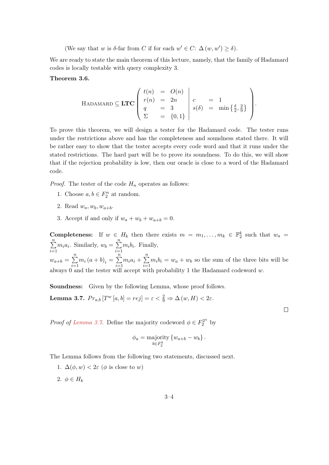(We say that w is  $\delta$ -far from C if for each  $w' \in C: \Delta(w, w') \geq \delta$ ).

We are ready to state the main theorem of this lecture, namely, that the family of Hadamard codes is locally testable with query complexity 3.

#### <span id="page-16-1"></span>Theorem 3.6.

HADAMARD 
$$
\subseteq
$$
 **LTC** 
$$
\begin{pmatrix} t(n) & = & O(n) \\ r(n) & = & 2n \\ q & = & 3 \\ \Sigma & = & \{0,1\} \end{pmatrix} \begin{pmatrix} c & = & 1 \\ s(\delta) & = & \min \{\frac{\delta}{2}, \frac{2}{9}\} \\ \end{pmatrix}.
$$

To prove this theorem, we will design a tester for the Hadamard code. The tester runs under the restrictions above and has the completeness and soundness stated there. It will be rather easy to show that the tester accepts every code word and that it runs under the stated restrictions. The hard part will be to prove its soundness. To do this, we will show that if the rejection probability is low, then our oracle is close to a word of the Hadamard code.

*Proof.* The tester of the code  $H_n$  operates as follows:

- 1. Choose  $a, b \in F_2^n$  at random.
- 2. Read  $w_a, w_b, w_{a+b}$ .
- 3. Accept if and only if  $w_a + w_b + w_{a+b} = 0$ .

**Completeness:** If  $w \in H_k$  then there exists  $m = m_1, \ldots, m_k \in \mathbb{F}_2^k$  such that  $w_a =$  $\sum_{i=1}^{n} m_i a_i$ . Similarly,  $w_b = \sum_{i=1}^{n} m_i b_i$ . Finally,  $i=1$   $i=1$  $w_{a+b} = \sum^{n}$  $i=1$  $m_i (a + b)_i = \sum_{i=1}^{n}$  $\frac{i=1}{i}$  $m_i a_i + \sum_{i=1}^n$  $i=1$  $m_i b_i = w_a + w_b$  so the sum of the three bits will be always 0 and the tester will accept with probability 1 the Hadamard codeword w.

<span id="page-16-0"></span>Soundness: Given by the following Lemma, whose proof follows. Lemma 3.7.  $Pr_{a,b}[T^w[a,b] = rej] = \varepsilon < \frac{2}{9} \Rightarrow \Delta(w,H) < 2\varepsilon$ .

*Proof of [Lemma 3.7.](#page-16-0)* Define the majority codeword  $\phi \in F_2^{2^n}$  by

$$
\phi_a = \underset{b \in F_2^k}{\text{majority}} \left\{ w_{a+b} - w_b \right\}.
$$

 $\Box$ 

The Lemma follows from the following two statements, discussed next.

- 1.  $\Delta(\phi, w) < 2\varepsilon$  ( $\phi$  is close to w)
- 2.  $\phi \in H_k$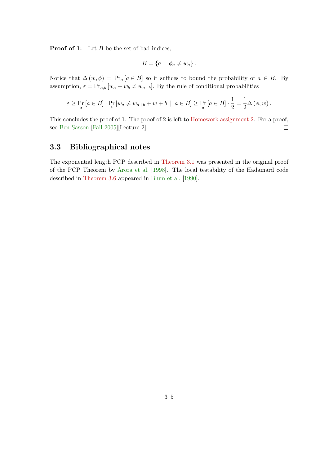**Proof of 1:** Let  $B$  be the set of bad indices,

$$
B = \{a \mid \phi_a \neq w_a\}.
$$

Notice that  $\Delta(w, \phi) = \Pr_a [a \in B]$  so it suffices to bound the probability of  $a \in B$ . By assumption,  $\varepsilon = \Pr_{a,b} [w_a + w_b \neq w_{a+b}]$ . By the rule of conditional probabilities

$$
\varepsilon \geq \Pr_a[a \in B] \cdot \Pr_b[w_a \neq w_{a+b} + w + b \mid a \in B] \geq \Pr_a[a \in B] \cdot \frac{1}{2} = \frac{1}{2}\Delta(\phi, w).
$$

This concludes the proof of 1. The proof of 2 is left to [Homework assignment 2.](#page-59-0) For a proof, see [Ben-Sasson](#page-65-11) [\[Fall 2005\]](#page-65-11)[Lecture 2].  $\Box$ 

# <span id="page-17-0"></span>3.3 Bibliographical notes

The exponential length PCP described in [Theorem 3.1](#page-13-2) was presented in the original proof of the PCP Theorem by [Arora et al.](#page-65-1) [\[1998\]](#page-65-1). The local testability of the Hadamard code described in [Theorem 3.6](#page-16-1) appeared in [Blum et al.](#page-65-12) [\[1990\]](#page-65-12).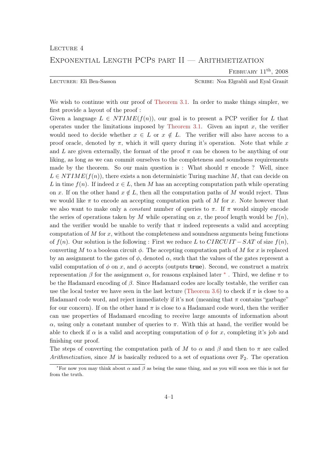<span id="page-18-0"></span>Exponential Length PCPs part II — Arithmetization

FEBRUARY  $11<sup>th</sup>$ , 2008

Lecturer: Eli Ben-Sasson Scribe: Noa Elgrabli and Eyal Granit

We wish to continue with our proof of [Theorem 3.1.](#page-13-2) In order to make things simpler, we first provide a layout of the proof :

Given a language  $L \in NTIME(f(n))$ , our goal is to present a PCP verifier for L that operates under the limitations imposed by [Theorem 3.1.](#page-13-2) Given an input  $x$ , the verifier would need to decide whether  $x \in L$  or  $x \notin L$ . The verifier will also have access to a proof oracle, denoted by  $\pi$ , which it will query during it's operation. Note that while x and L are given externally, the format of the proof  $\pi$  can be chosen to be anything of our liking, as long as we can commit ourselves to the completeness and soundness requirements made by the theorem. So our main question is : What should  $\pi$  encode ? Well, since  $L \in NTIME(f(n))$ , there exists a non deterministic Turing machine M, that can decide on L in time  $f(n)$ . If indeed  $x \in L$ , then M has an accepting computation path while operating on x. If on the other hand  $x \notin L$ , then all the computation paths of M would reject. Thus we would like  $\pi$  to encode an accepting computation path of M for x. Note however that we also want to make only a *constant* number of queries to  $\pi$ . If  $\pi$  would simply encode the series of operations taken by M while operating on x, the proof length would be  $f(n)$ , and the verifier would be unable to verify that  $\pi$  indeed represents a valid and accepting computation of  $M$  for  $x$ , without the completeness and soundness arguments being functions of  $f(n)$ . Our solution is the following : First we reduce L to  $CIRCUIT - SAT$  of size  $f(n)$ , converting M to a boolean circuit  $\phi$ . The accepting computation path of M for x is replaced by an assignment to the gates of  $\phi$ , denoted  $\alpha$ , such that the values of the gates represent a valid computation of  $\phi$  on x, and  $\phi$  accepts (outputs **true**). Second, we construct a matrix representation β for the assignment  $\alpha$ , for reasons explained later  $*$ . Third, we define π to be the Hadamard encoding of  $\beta$ . Since Hadamard codes are locally testable, the verifier can use the local tester we have seen in the last lecture [\(Theorem 3.6\)](#page-16-1) to check if  $\pi$  is close to a Hadamard code word, and reject immediately if it's not (meaning that  $\pi$  contains "garbage" for our concern). If on the other hand  $\pi$  is close to a Hadamard code word, then the verifier can use properties of Hadamard encoding to receive large amounts of information about α, using only a constant number of queries to  $π$ . With this at hand, the verifier would be able to check if  $\alpha$  is a valid and accepting computation of  $\phi$  for x, completing it's job and finishing our proof.

The steps of converting the computation path of M to  $\alpha$  and  $\beta$  and then to  $\pi$  are called Arithmetization, since M is basically reduced to a set of equations over  $\mathbb{F}_2$ . The operation

<span id="page-18-1"></span><sup>\*</sup>For now you may think about  $\alpha$  and  $\beta$  as being the same thing, and as you will soon see this is not far from the truth.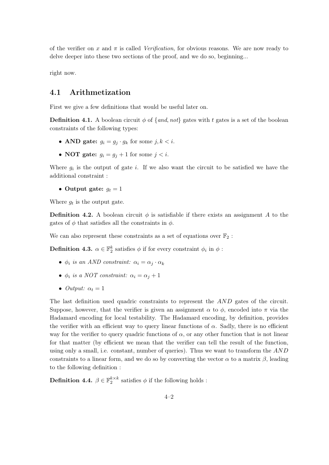of the verifier on x and  $\pi$  is called *Verification*, for obvious reasons. We are now ready to delve deeper into these two sections of the proof, and we do so, beginning...

right now.

# <span id="page-19-0"></span>4.1 Arithmetization

First we give a few definitions that would be useful later on.

**Definition 4.1.** A boolean circuit  $\phi$  of {and, not} gates with t gates is a set of the boolean constraints of the following types:

- AND gate:  $g_i = g_j \cdot g_k$  for some  $j, k < i$ .
- NOT gate:  $q_i = q_j + 1$  for some  $j < i$ .

Where  $g_i$  is the output of gate i. If we also want the circuit to be satisfied we have the additional constraint :

• Output gate:  $g_t = 1$ 

Where  $g_t$  is the output gate.

**Definition 4.2.** A boolean circuit  $\phi$  is satisfiable if there exists an assignment A to the gates of  $\phi$  that satisfies all the constraints in  $\phi$ .

<span id="page-19-1"></span>We can also represent these constraints as a set of equations over  $\mathbb{F}_2$ :

**Definition 4.3.**  $\alpha \in \mathbb{F}_2^k$  satisfies  $\phi$  if for every constraint  $\phi_i$  in  $\phi$ :

- $\phi_i$  is an AND constraint:  $\alpha_i = \alpha_j \cdot \alpha_k$
- $\phi_i$  is a NOT constraint:  $\alpha_i = \alpha_j + 1$
- Output:  $\alpha_t = 1$

The last definition used quadric constraints to represent the AND gates of the circuit. Suppose, however, that the verifier is given an assignment  $\alpha$  to  $\phi$ , encoded into  $\pi$  via the Hadamard encoding for local testability. The Hadamard encoding, by definition, provides the verifier with an efficient way to query linear functions of  $\alpha$ . Sadly, there is no efficient way for the verifier to query quadric functions of  $\alpha$ , or any other function that is not linear for that matter (by efficient we mean that the verifier can tell the result of the function, using only a small, i.e. constant, number of queries). Thus we want to transform the AND constraints to a linear form, and we do so by converting the vector  $\alpha$  to a matrix  $\beta$ , leading to the following definition :

<span id="page-19-2"></span>**Definition 4.4.**  $\beta \in \mathbb{F}_2^{k \times k}$  satisfies  $\phi$  if the following holds :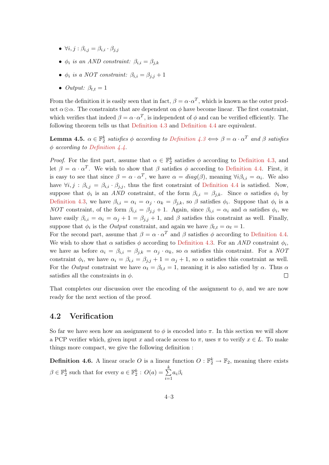- $\forall i, j : \beta_{i,j} = \beta_{i,i} \cdot \beta_{j,j}$
- $\phi_i$  is an AND constraint:  $\beta_{i,i} = \beta_{j,k}$
- $\phi_i$  is a NOT constraint:  $\beta_{i,i} = \beta_{i,i} + 1$
- Output:  $\beta_{t,t} = 1$

From the definition it is easily seen that in fact,  $\beta = \alpha \cdot \alpha^T$ , which is known as the outer product  $\alpha \otimes \alpha$ . The constraints that are dependent on  $\phi$  have become linear. The first constraint, which verifies that indeed  $\beta = \alpha \cdot \alpha^T$ , is independent of  $\phi$  and can be verified efficiently. The following theorem tells us that [Definition 4.3](#page-19-1) and [Definition 4.4](#page-19-2) are equivalent.

**Lemma 4.5.**  $\alpha \in \mathbb{F}_2^k$  satisfies  $\phi$  according to Definition  $\lambda \colon \beta \iff \beta = \alpha \cdot \alpha^T$  and  $\beta$  satisfies  $\phi$  according to [Definition 4.4.](#page-19-2)

*Proof.* For the first part, assume that  $\alpha \in \mathbb{F}_2^k$  satisfies  $\phi$  according to [Definition 4.3,](#page-19-1) and let  $\beta = \alpha \cdot \alpha^T$ . We wish to show that  $\beta$  satisfies  $\phi$  according to [Definition 4.4.](#page-19-2) First, it is easy to see that since  $\beta = \alpha \cdot \alpha^T$ , we have  $\alpha = diag(\beta)$ , meaning  $\forall i \beta_{i,i} = \alpha_i$ . We also have  $\forall i, j : \beta_{i,j} = \beta_{i,i} \cdot \beta_{j,j}$ , thus the first constraint of [Definition 4.4](#page-19-2) is satisfied. Now, suppose that  $\phi_i$  is an AND constraint, of the form  $\beta_{i,i} = \beta_{j,k}$ . Since  $\alpha$  satisfies  $\phi_i$  by [Definition 4.3,](#page-19-1) we have  $\beta_{i,i} = \alpha_i = \alpha_j \cdot \alpha_k = \beta_{j,k}$ , so  $\beta$  satisfies  $\phi_i$ . Suppose that  $\phi_i$  is a NOT constraint, of the form  $\beta_{i,i} = \beta_{j,j} + 1$ . Again, since  $\beta_{i,i} = \alpha_i$  and  $\alpha$  satisfies  $\phi_i$ , we have easily  $\beta_{i,i} = \alpha_i = \alpha_j + 1 = \beta_{j,i} + 1$ , and  $\beta$  satisfies this constraint as well. Finally, suppose that  $\phi_i$  is the *Output* constraint, and again we have  $\beta_{t,t} = \alpha_t = 1$ .

For the second part, assume that  $\beta = \alpha \cdot \alpha^T$  and  $\beta$  satisfies  $\phi$  according to [Definition 4.4.](#page-19-2) We wish to show that  $\alpha$  satisfies  $\phi$  according to [Definition 4.3.](#page-19-1) For an AND constraint  $\phi_i$ , we have as before  $\alpha_i = \beta_{i,i} = \beta_{j,k} = \alpha_j \cdot \alpha_k$ , so  $\alpha$  satisfies this constraint. For a NOT constraint  $\phi_i$ , we have  $\alpha_i = \beta_{i,i} = \beta_{j,j} + 1 = \alpha_j + 1$ , so  $\alpha$  satisfies this constraint as well. For the *Output* constraint we have  $\alpha_t = \beta_{t,t} = 1$ , meaning it is also satisfied by  $\alpha$ . Thus  $\alpha$ satisfies all the constraints in  $\phi$ .  $\Box$ 

That completes our discussion over the encoding of the assignment to  $\phi$ , and we are now ready for the next section of the proof.

# <span id="page-20-0"></span>4.2 Verification

So far we have seen how an assignment to  $\phi$  is encoded into  $\pi$ . In this section we will show a PCP verifier which, given input x and oracle access to  $\pi$ , uses  $\pi$  to verify  $x \in L$ . To make things more compact, we give the following definition :

**Definition 4.6.** A linear oracle O is a linear function  $O: \mathbb{F}_2^k \to \mathbb{F}_2$ , meaning there exists  $\beta \in \mathbb{F}_2^k$  such that for every  $a \in \mathbb{F}_2^k$  :  $O(a) = \sum_{k=1}^k$  $i=1$  $a_i\beta_i$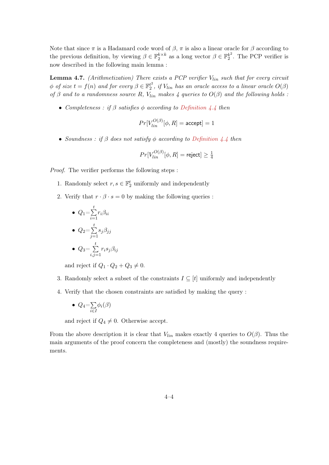Note that since  $\pi$  is a Hadamard code word of  $\beta$ ,  $\pi$  is also a linear oracle for  $\beta$  according to the previous definition, by viewing  $\beta \in \mathbb{F}_2^{k \times k}$  as a long vector  $\beta \in \mathbb{F}_2^{k^2}$  $2^k$ <sup>2</sup>. The PCP verifier is now described in the following main lemma :

**Lemma 4.7.** (Arithmetization) There exists a PCP verifier  $V_{lin}$  such that for every circuit  $\phi$  of size  $t = f(n)$  and for every  $\beta \in \mathbb{F}_2^{t^2}$  $u^2$ , if  $V_{lin}$  has an oracle access to a linear oracle  $O(\beta)$ of  $\beta$  and to a randomness source R,  $V_{lin}$  makes 4 queries to  $O(\beta)$  and the following holds :

• Completeness : if  $\beta$  satisfies  $\phi$  according to [Definition 4.4](#page-19-2) then

$$
Pr[V_{lin}^{O(\beta)}[\phi, R] = \text{accept}] = 1
$$

• Soundness : if  $\beta$  does not satisfy  $\phi$  according to [Definition 4.4](#page-19-2) then

$$
Pr[V_{lin}^{O(\beta)}[\phi,R] = \text{reject}] \ge \frac{1}{4}
$$

Proof. The verifier performs the following steps :

- 1. Randomly select  $r, s \in \mathbb{F}_2^t$  uniformly and independently
- 2. Verify that  $r \cdot \beta \cdot s = 0$  by making the following queries :

\n- $$
Q_1 = \sum_{i=1}^t r_i \beta_{ii}
$$
\n- $Q_2 = \sum_{j=1}^t s_j \beta_{jj}$
\n- $Q_3 = \sum_{i,j=1}^t r_i s_j \beta_{ij}$
\n

and reject if  $Q_1 \cdot Q_2 + Q_3 \neq 0$ .

- 3. Randomly select a subset of the constraints  $I \subseteq [t]$  uniformly and independently
- 4. Verify that the chosen constraints are satisfied by making the query :

$$
\bullet \ \ Q_4 = \sum_{i \in I} \phi_i(\beta)
$$

and reject if  $Q_4 \neq 0$ . Otherwise accept.

From the above description it is clear that  $V_{lin}$  makes exactly 4 queries to  $O(\beta)$ . Thus the main arguments of the proof concern the completeness and (mostly) the soundness requirements.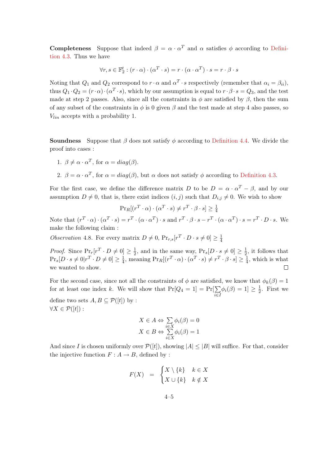**Completeness** Suppose that indeed  $\beta = \alpha \cdot \alpha^T$  and  $\alpha$  satisfies  $\phi$  according to [Defini](#page-19-1)[tion 4.3.](#page-19-1) Thus we have

$$
\forall r, s \in \mathbb{F}_2^t : (r \cdot \alpha) \cdot (\alpha^T \cdot s) = r \cdot (\alpha \cdot \alpha^T) \cdot s = r \cdot \beta \cdot s
$$

Noting that  $Q_1$  and  $Q_2$  correspond to  $r \cdot \alpha$  and  $\alpha^T \cdot s$  respectively (remember that  $\alpha_i = \beta_{ii}$ ), thus  $Q_1 \cdot Q_2 = (r \cdot \alpha) \cdot (\alpha^T \cdot s)$ , which by our assumption is equal to  $r \cdot \beta \cdot s = Q_3$ , and the test made at step 2 passes. Also, since all the constraints in  $\phi$  are satisfied by  $\beta$ , then the sum of any subset of the constraints in  $\phi$  is 0 given  $\beta$  and the test made at step 4 also passes, so  $V_{lin}$  accepts with a probability 1.

**Soundness** Suppose that  $\beta$  does not satisfy  $\phi$  according to [Definition 4.4.](#page-19-2) We divide the proof into cases :

1. 
$$
\beta \neq \alpha \cdot \alpha^T
$$
, for  $\alpha = diag(\beta)$ .

2.  $\beta = \alpha \cdot \alpha^T$ , for  $\alpha = diag(\beta)$ , but  $\alpha$  does not satisfy  $\phi$  according to [Definition 4.3.](#page-19-1)

For the first case, we define the difference matrix D to be  $D = \alpha \cdot \alpha^T - \beta$ , and by our assumption  $D \neq 0$ , that is, there exist indices  $(i, j)$  such that  $D_{i,j} \neq 0$ . We wish to show

$$
Pr_R[(r^T \cdot \alpha) \cdot (\alpha^T \cdot s) \neq r^T \cdot \beta \cdot s] \ge \frac{1}{4}
$$

Note that  $(r^T \cdot \alpha) \cdot (\alpha^T \cdot s) = r^T \cdot (\alpha \cdot \alpha^T) \cdot s$  and  $r^T \cdot \beta \cdot s - r^T \cdot (\alpha \cdot \alpha^T) \cdot s = r^T \cdot D \cdot s$ . We make the following claim :

Observation 4.8. For every matrix  $D \neq 0$ ,  $Pr_{r,s}[r^T \cdot D \cdot s \neq 0] \geq \frac{1}{4}$ 4

*Proof.* Since  $\Pr_r[r^T \cdot D \neq 0] \geq \frac{1}{2}$  $\frac{1}{2}$ , and in the same way,  $Pr_s[D \cdot s \neq 0] \geq \frac{1}{2}$  $\frac{1}{2}$ , it follows that  $\Pr_s[D \cdot s \neq 0 | r^T \cdot D \neq 0] \geq \frac{1}{4}$  $\frac{1}{4}$ , meaning  $Pr_R[(r^T \cdot \alpha) \cdot (\alpha^T \cdot s) \neq r^T \cdot \beta \cdot s] \ge \frac{1}{4}$  $\frac{1}{4}$ , which is what we wanted to show.

For the second case, since not all the constraints of  $\phi$  are satisfied, we know that  $\phi_k(\beta) = 1$ for at least one index k. We will show that  $Pr[Q_4 = 1] = Pr[\sum$ i∈I  $\phi_i(\beta) = 1 \geq \frac{1}{2}$  $\frac{1}{2}$ . First we define two sets  $A, B \subseteq \mathcal{P}([t])$  by :  $\forall X \in \mathcal{P}([t])$ :

$$
X \in A \Leftrightarrow \sum_{i \in X} \phi_i(\beta) = 0
$$

$$
X \in B \Leftrightarrow \sum_{i \in X} \phi_i(\beta) = 1
$$

And since I is chosen uniformly over  $\mathcal{P}([t])$ , showing  $|A| \leq |B|$  will suffice. For that, consider the injective function  $F : A \to B$ , defined by :

$$
F(X) = \begin{cases} X \setminus \{k\} & k \in X \\ X \cup \{k\} & k \notin X \end{cases}
$$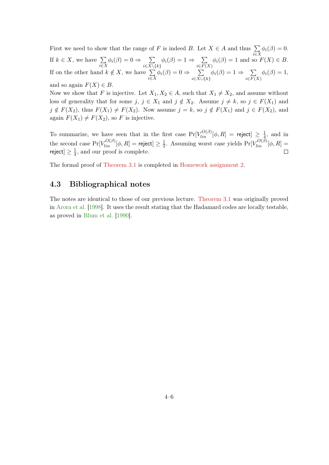First we need to show that the range of F is indeed B. Let  $X \in A$  and thus  $\sum$ i∈X  $\phi_i(\beta)=0.$ If  $k \in X$ , we have  $\sum$ i∈X  $\phi_i(\beta) = 0 \Rightarrow \sum$  $i\in X\backslash\{k\}$  $\phi_i(\beta) = 1 \Rightarrow \sum$  $i \in F(X)$  $\phi_i(\beta) = 1$  and so  $F(X) \in B$ . If on the other hand  $k \notin X$ , we have  $\sum$ i∈X  $\phi_i(\beta) = 0 \Rightarrow \sum$  $i \in X \cup \{k\}$  $\phi_i(\beta) = 1 \Rightarrow \sum$  $i \in F(X)$  $\phi_i(\beta) = 1,$ and so again  $F(X) \in B$ .

Now we show that F is injective. Let  $X_1, X_2 \in A$ , such that  $X_1 \neq X_2$ , and assume without loss of generality that for some  $j, j \in X_1$  and  $j \notin X_2$ . Assume  $j \neq k$ , so  $j \in F(X_1)$  and  $j \notin F(X_2)$ , thus  $F(X_1) \neq F(X_2)$ . Now assume  $j = k$ , so  $j \notin F(X_1)$  and  $j \in F(X_2)$ , and again  $F(X_1) \neq F(X_2)$ , so F is injective.

To summarize, we have seen that in the first case  $Pr[V_{lin}^{O(\beta)}[\phi, R] =$  reject $] \geq \frac{1}{4}$  $\frac{1}{4}$ , and in the second case  $\Pr[V_{lin}^{O(\beta)}[\phi,R]=\textsf{reject}]\geq \frac{1}{2}$  $\frac{1}{2}$ . Assuming worst case yields  $Pr[V_{lin}^{O(\beta)}[\phi, R]] =$ reject $]\geq \frac{1}{4}$  $\Box$  $\frac{1}{4}$ , and our proof is complete.

The formal proof of [Theorem 3.1](#page-13-2) is completed in [Homework assignment 2.](#page-59-0)

# <span id="page-23-0"></span>4.3 Bibliographical notes

The notes are identical to those of our previous lecture. [Theorem 3.1](#page-13-2) was originally proved in [Arora et al.](#page-65-1) [\[1998\]](#page-65-1). It uses the result stating that the Hadamard codes are locally testable, as proved in [Blum et al.](#page-65-12) [\[1990\]](#page-65-12).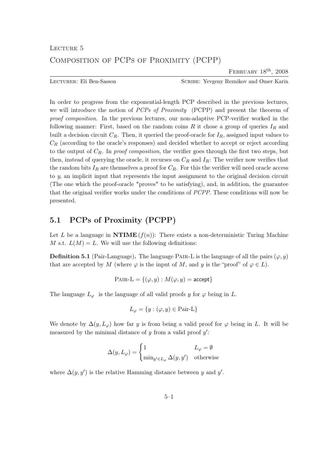FEBRUARY 18<sup>th</sup>, 2008

<span id="page-24-0"></span>Lecturer: Eli Ben-Sasson Scribe: Yevgeny Reznikov and Omer Karin

In order to progress from the exponential-length PCP described in the previous lectures, we will introduce the notion of PCPs of Proximity (PCPP) and present the theorem of proof composition. In the previous lectures, our non-adaptive PCP-verifier worked in the following manner: First, based on the random coins  $R$  it chose a group of queries  $I_R$  and built a decision circuit  $C_R$ . Then, it queried the proof-oracle for  $I_R$ , assigned input values to  $C_R$  (according to the oracle's responses) and decided whether to accept or reject according to the output of  $C_R$ . In proof composition, the verifier goes through the first two steps, but then, instead of querying the oracle, it recurses on  $C_R$  and  $I_R$ : The verifier now verifies that the random bits  $I_R$  are themselves a proof for  $C_R$ . For this the verifier will need oracle access to y, an implicit input that represents the input assignment to the original decision circuit (The one which the proof-oracle "proves" to be satisfying), and, in addition, the guarantee that the original verifier works under the conditions of PCPP. These conditions will now be presented.

# <span id="page-24-1"></span>5.1 PCPs of Proximity (PCPP)

Let L be a language in  $\mathbf{NTIME}(f(n))$ : There exists a non-deterministic Turing Machine M s.t.  $L(M) = L$ . We will use the following definitions:

**Definition 5.1** (Pair-Language). The language PAIR-L is the language of all the pairs  $(\varphi, y)$ that are accepted by M (where  $\varphi$  is the input of M, and y is the "proof" of  $\varphi \in L$ ).

$$
PAIR-L = \{(\varphi, y) : M(\varphi, y) = \text{accept}\}
$$

The language  $L_{\varphi}$  is the language of all valid proofs y for  $\varphi$  being in L.

$$
L_{\varphi} = \{ y : (\varphi, y) \in \text{Pair-L} \}
$$

We denote by  $\Delta(y, L_{\varphi})$  how far y is from being a valid proof for  $\varphi$  being in L. It will be measured by the minimal distance of  $y$  from a valid proof  $y'$ :

$$
\Delta(y, L_{\varphi}) = \begin{cases} 1 & L_{\varphi} = \emptyset \\ \min_{y' \in L_{\varphi}} \Delta(y, y') & \text{otherwise} \end{cases}
$$

where  $\Delta(y, y')$  is the relative Hamming distance between y and y'.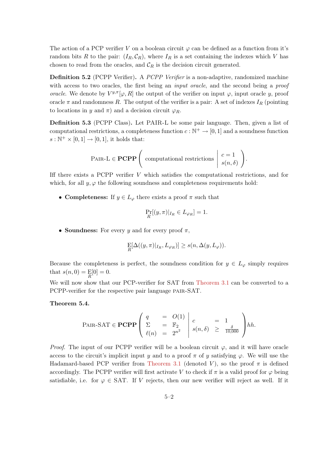The action of a PCP verifier V on a boolean circuit  $\varphi$  can be defined as a function from it's random bits R to the pair:  $(I_R, \mathcal{C}_R)$ , where  $I_R$  is a set containing the indexes which V has chosen to read from the oracles, and  $\mathcal{C}_R$  is the decision circuit generated.

Definition 5.2 (PCPP Verifier). A *PCPP Verifier* is a non-adaptive, randomized machine with access to two oracles, the first being an *input oracle*, and the second being a *proof* oracle. We denote by  $V^{y,\pi}[\varphi, R]$  the output of the verifier on input  $\varphi$ , input oracle y, proof oracle  $\pi$  and randomness R. The output of the verifier is a pair: A set of indexes  $I_R$  (pointing to locations in y and  $\pi$ ) and a decision circuit  $\varphi_R$ .

<span id="page-25-0"></span>Definition 5.3 (PCPP Class). Let PAIR-L be some pair language. Then, given a list of computational restrictions, a completeness function  $c : \mathbb{N}^+ \to [0, 1]$  and a soundness function  $s: \mathbb{N}^+ \times [0,1] \to [0,1]$ , it holds that:

$$
PAIR-L \in \mathbf{PCPP} \left( \text{ computational restrictions} \mid \begin{array}{c} c = 1 \\ s(n, \delta) \end{array} \right).
$$

Iff there exists a PCPP verifier  $V$  which satisfies the computational restrictions, and for which, for all  $y, \varphi$  the following soundness and completeness requirements hold:

• Completeness: If  $y \in L_{\varphi}$  there exists a proof  $\pi$  such that

$$
\Pr_R[(y,\pi)|_{I_R} \in L_{\varphi_R}] = 1.
$$

• Soundness: For every y and for every proof  $\pi$ ,

$$
\mathop{\mathrm{E}}_R[\Delta((y,\pi)|_{I_R},L_{\varphi_R})] \ge s(n,\Delta(y,L_\varphi)).
$$

Because the completeness is perfect, the soundness condition for  $y \in L_{\varphi}$  simply requires that  $s(n, 0) = E[0] = 0$ .

We will now show that our PCP-verifier for SAT from [Theorem 3.1](#page-13-2) can be converted to a PCPP-verifier for the respective pair language pair-SAT.

#### Theorem 5.4.

$$
\text{PAIR-SAT} \in \mathbf{PCPP} \left( \begin{array}{ccc} q & = & O(1) \\ \Sigma & = & \mathbb{F}_2 \\ \ell(n) & = & 2^{n^2} \end{array} \right) \begin{array}{l} c & = & 1 \\ s(n, \delta) & \geq & \frac{\delta}{10,000} \end{array} \right) hh.
$$

*Proof.* The input of our PCPP verifier will be a boolean circuit  $\varphi$ , and it will have oracle access to the circuit's implicit input y and to a proof  $\pi$  of y satisfying  $\varphi$ . We will use the Hadamard-based PCP verifier from [Theorem 3.1](#page-13-2) (denoted V), so the proof  $\pi$  is defined accordingly. The PCPP verifier will first activate V to check if  $\pi$  is a valid proof for  $\varphi$  being satisfiable, i.e. for  $\varphi \in SAT$ . If V rejects, then our new verifier will reject as well. If it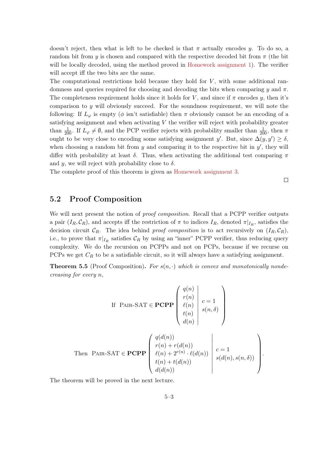doesn't reject, then what is left to be checked is that  $\pi$  actually encodes y. To do so, a random bit from y is chosen and compared with the respective decoded bit from  $\pi$  (the bit will be locally decoded, using the method proved in [Homework assignment 1\)](#page-58-0). The verifier will accept iff the two bits are the same.

The computational restrictions hold because they hold for  $V$ , with some additional randomness and queries required for choosing and decoding the bits when comparing  $\eta$  and  $\pi$ . The completeness requirement holds since it holds for V, and since if  $\pi$  encodes y, then it's comparison to  $y$  will obviously succeed. For the soundness requirement, we will note the following: If  $L_{\varphi}$  is empty ( $\phi$  isn't satisfiable) then  $\pi$  obviously cannot be an encoding of a satisfying assignment and when activating  $V$  the verifier will reject with probability greater than  $\frac{1}{200}$ . If  $L_{\varphi} \neq \emptyset$ , and the PCP verifier rejects with probability smaller than  $\frac{1}{200}$ , then  $\pi$ ought to be very close to encoding some satisfying assignment y'. But, since  $\Delta(y, y') \ge \delta$ , when choosing a random bit from  $y$  and comparing it to the respective bit in  $y'$ , they will differ with probability at least  $\delta$ . Thus, when activating the additional test comparing  $\pi$ and y, we will reject with probability close to  $\delta$ .

The complete proof of this theorem is given as [Homework assignment 3.](#page-61-0)

 $\Box$ 

# <span id="page-26-0"></span>5.2 Proof Composition

We will next present the notion of *proof composition*. Recall that a PCPP verifier outputs a pair  $(I_R, \mathcal{C}_R)$ , and accepts iff the restriction of  $\pi$  to indices  $I_R$ , denoted  $\pi|_{I_R}$ , satisfies the decision circuit  $\mathcal{C}_R$ . The idea behind proof composition is to act recursively on  $(I_R, \mathcal{C}_R)$ , i.e., to prove that  $\pi|_{I_R}$  satisfies  $\mathcal{C}_R$  by using an "inner" PCPP verifier, thus reducing query complexity. We do the recursion on PCPPs and not on PCPs, because if we recurse on PCPs we get  $C_R$  to be a satisfiable circuit, so it will always have a satisfying assignment.

<span id="page-26-1"></span>**Theorem 5.5** (Proof Composition). For  $s(n, \cdot)$  which is convex and monotonically nondecreasing for every n,

If PAR-SAT 
$$
\in
$$
 PCPP  $\begin{pmatrix} q(n) \\ r(n) \\ \ell(n) \\ t(n) \\ d(n) \end{pmatrix} c = 1$   
Then PAR-SAT  $\in$  PCPP  $\begin{pmatrix} q(d(n)) \\ r(n) + r(d(n)) \\ \ell(n) + 2^{r(n)} \cdot \ell(d(n)) \\ t(n) + t(d(n)) \\ t(n) + t(d(n)) \end{pmatrix} c = 1$   
 $\downarrow c = 1$   
 $d(d(n))$ 

The theorem will be proved in the next lecture.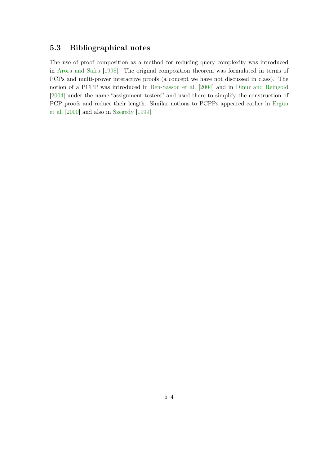# <span id="page-27-0"></span>5.3 Bibliographical notes

The use of proof composition as a method for reducing query complexity was introduced in [Arora and Safra](#page-65-2) [\[1998\]](#page-65-2). The original composition theorem was formulated in terms of PCPs and multi-prover interactive proofs (a concept we have not discussed in class). The notion of a PCPP was introduced in [Ben-Sasson et al.](#page-65-9) [\[2004\]](#page-65-9) and in [Dinur and Reingold](#page-65-10) [\[2004\]](#page-65-10) under the name "assignment testers" and used there to simplify the construction of PCP proofs and reduce their length. Similar notions to PCPPs appeared earlier in [Ergün](#page-65-13) [et al.](#page-65-13) [\[2000\]](#page-65-13) and also in [Szegedy](#page-66-4) [\[1999\]](#page-66-4).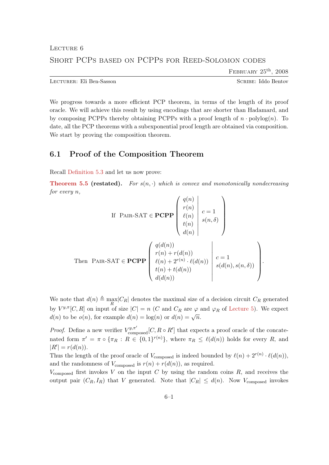FEBRUARY  $25^{\text{th}}$ ,  $2008$ 

<span id="page-28-0"></span>LECTURER: Eli Ben-Sasson SCRIBE: Iddo Bentov

We progress towards a more efficient PCP theorem, in terms of the length of its proof oracle. We will achieve this result by using encodings that are shorter than Hadamard, and by composing PCPPs thereby obtaining PCPPs with a proof length of  $n \cdot \text{polylog}(n)$ . To date, all the PCP theorems with a subexponential proof length are obtained via composition. We start by proving the composition theorem.

# <span id="page-28-1"></span>6.1 Proof of the Composition Theorem

Recall [Definition 5.3](#page-25-0) and let us now prove:

**[Theorem 5.5](#page-26-1) (restated).** For  $s(n, \cdot)$  which is convex and monotonically nondecreasing for every n,

If PAR-SAT 
$$
\in
$$
 PCPP  $\begin{pmatrix} q(n) \\ r(n) \\ \ell(n) \\ t(n) \\ d(n) \end{pmatrix}$   $c = 1$   
Then PAR-SAT  $\in$  PCPP  $\begin{pmatrix} q(d(n)) \\ r(n) + r(d(n)) \\ \ell(n) + 2^{r(n)} \cdot \ell(d(n)) \\ t(n) + t(d(n)) \end{pmatrix}$   $c = 1$   
 $d(d(n))$   $d(d(n))$ 

We note that  $d(n) \triangleq \max_R |C_R|$  denotes the maximal size of a decision circuit  $C_R$  generated by  $V^{y,\pi}[C,R]$  on input of size  $|C| = n$  (C and  $C_R$  are  $\varphi$  and  $\varphi_R$  of [Lecture 5\)](#page-24-0). We expect  $d(n)$  to be  $o(n)$ , for example  $d(n) = \log(n)$  or  $d(n) = \sqrt{n}$ .

*Proof.* Define a new verifier  $V^{y,\pi'}_{\text{composed}}[C, R \circ R']$  that expects a proof oracle of the concatenated form  $\pi' = \pi \circ {\{\pi_R : R \in \{0,1\}^{r(n)}\}}$ , where  $\pi_R \leq \ell(d(n))$  holds for every R, and  $|R'| = r(d(n)).$ 

Thus the length of the proof oracle of  $V_{\text{composed}}$  is indeed bounded by  $\ell(n) + 2^{r(n)} \cdot \ell(d(n)),$ and the randomness of  $V_{\text{composed}}$  is  $r(n) + r(d(n))$ , as required.

 $V_{\text{composed}}$  first invokes V on the input C by using the random coins R, and receives the output pair  $(C_R, I_R)$  that V generated. Note that  $|C_R| \leq d(n)$ . Now  $V_{\text{composed}}$  invokes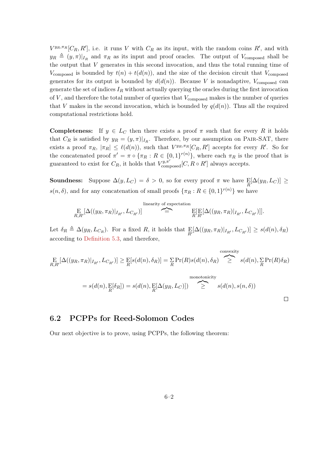$V^{y_R,\pi_R}[C_R, R']$ , i.e. it runs V with  $C_R$  as its input, with the random coins R', and with  $y_R \triangleq (y, \pi)|_{I_R}$  and  $\pi_R$  as its input and proof oracles. The output of  $V_{\text{composed}}$  shall be the output that  $V$  generates in this second invocation, and thus the total running time of  $V_{\text{composed}}$  is bounded by  $t(n) + t(d(n))$ , and the size of the decision circuit that  $V_{\text{composed}}$ generates for its output is bounded by  $d(d(n))$ . Because V is nonadaptive,  $V_{\text{composed}}$  can generate the set of indices  $I_R$  without actually querying the oracles during the first invocation of  $V$ , and therefore the total number of queries that  $V_{\text{composed}}$  makes is the number of queries that V makes in the second invocation, which is bounded by  $q(d(n))$ . Thus all the required computational restrictions hold.

**Completeness:** If  $y \in L_C$  then there exists a proof  $\pi$  such that for every R it holds that  $C_R$  is satisfied by  $y_R = (y, \pi)|_{I_R}$ . Therefore, by our assumption on PAIR-SAT, there exists a proof  $\pi_R$ ,  $|\pi_R| \leq \ell(d(n))$ , such that  $V^{y_R, \pi_R}[C_R, R']$  accepts for every R'. So for the concatenated proof  $\pi' = \pi \circ {\{\pi_R : R \in \{0,1\}^{r(n)}\}}$ , where each  $\pi_R$  is the proof that is guaranteed to exist for  $C_R$ , it holds that  $V^{y,\pi'}_{\text{composed}}[C, R \circ R']$  always accepts.

**Soundness:** Suppose  $\Delta(y, L_C) = \delta > 0$ , so for every proof  $\pi$  we have  $\mathbb{E}[\Delta(y_R, L_C)] \ge$  $s(n, \delta)$ , and for any concatenation of small proofs  $\{\pi_R : R \in \{0,1\}^{r(n)}\}$  we have

E R,R<sup>0</sup> [∆((yR, πR)|IR<sup>0</sup> , LCR<sup>0</sup> )] linearity of expectation z}|{ = E R [E R0 [∆((yR, πR)|IR<sup>0</sup> , LCR<sup>0</sup> )]].

Let  $\delta_R \triangleq \Delta(y_R, L_{C_R})$ . For a fixed R, it holds that  $\mathbb{E}[\Delta((y_R, \pi_R)|_{I_{R'}}, L_{C_{R'}})] \ge s(d(n), \delta_R)$ according to [Definition 5.3,](#page-25-0) and therefore,

$$
\underset{R,R'}{\text{E}}[\Delta((y_R, \pi_R)|_{I_{R'}}, L_{C_{R'}})] \geq \underset{R}{\text{E}}[s(d(n), \delta_R)] = \underset{R}{\sum} \Pr(R)s(d(n), \delta_R) \sum_{\geq}^{\text{convexity}} s(d(n), \underset{R}{\sum} \Pr(R)\delta_R)
$$
\n
$$
= s(d(n), \underset{R}{\text{E}}[\delta_R]) = s(d(n), \underset{R}{\text{E}}[\Delta(y_R, L_C)]) \sum_{\geq}^{\text{monotonicity}} s(d(n), s(n, \delta))
$$

# <span id="page-29-0"></span>6.2 PCPPs for Reed-Solomon Codes

<span id="page-29-1"></span>Our next objective is to prove, using PCPPs, the following theorem: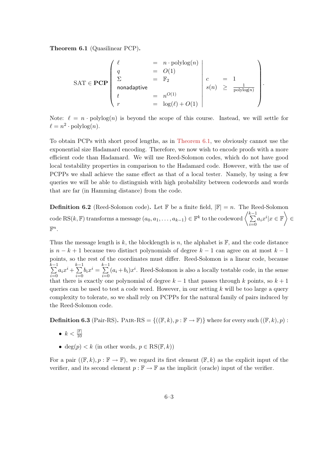Theorem 6.1 (Quasilinear PCP).

$$
\text{SAT} \in \mathbf{PCP} \begin{pmatrix} \ell & = & n \cdot \text{polylog}(n) \\ q & = & O(1) \\ \Sigma & = & \mathbb{F}_2 \\ \text{nonadaptive} \\ t & = & n^{O(1)} \\ r & = & \log(\ell) + O(1) \end{pmatrix} \begin{pmatrix} \ell & = & n \cdot \text{polylog}(n) \\ \vdots & \vdots & \ddots \\ s(n) & \geq & \frac{1}{\text{polylog}(n)} \\ \frac{1}{\text{polylog}(n)} & = & \frac{1}{\text{polylog}(n)} \end{pmatrix}.
$$

Note:  $\ell = n \cdot \text{polylog}(n)$  is beyond the scope of this course. Instead, we will settle for  $\ell = n^2 \cdot \text{polylog}(n).$ 

To obtain PCPs with short proof lengths, as in [Theorem 6.1,](#page-29-1) we obviously cannot use the exponential size Hadamard encoding. Therefore, we now wish to encode proofs with a more efficient code than Hadamard. We will use Reed-Solomon codes, which do not have good local testability properties in comparison to the Hadamard code. However, with the use of PCPPs we shall achieve the same effect as that of a local tester. Namely, by using a few queries we will be able to distinguish with high probability between codewords and words that are far (in Hamming distance) from the code.

**Definition 6.2** (Reed-Solomon code). Let  $\mathbb{F}$  be a finite field,  $|\mathbb{F}| = n$ . The Reed-Solomon  $\text{code RS}(k, \mathbb{F})$  transforms a message  $(a_0, a_1, \ldots, a_{k-1}) \in \mathbb{F}^k$  to the codeword  $\left\langle \sum_{i=1}^{k-1} a_i a_i a_i, a_i \in \mathbb{F}^k \right\rangle$  $i=0$  $a_ix^i|x \in \mathbb{F}$   $\Big\} \in$  $\mathbb{F}^n$ .

Thus the message length is k, the blocklength is n, the alphabet is  $\mathbb{F}$ , and the code distance is  $n - k + 1$  because two distinct polynomials of degree  $k - 1$  can agree on at most  $k - 1$ points, so the rest of the coordinates must differ. Reed-Solomon is a linear code, because  $\sum_{ }^{k-1}$  $i=0$  $a_ix^i + \sum^{k-1}$  $i=0$  $b_ix^i=\sum^{k-1}$  $i=0$  $(a_i + b_i)x^i$ . Reed-Solomon is also a locally testable code, in the sense that there is exactly one polynomial of degree  $k-1$  that passes through k points, so  $k+1$ queries can be used to test a code word. However, in our setting  $k$  will be too large a query complexity to tolerate, so we shall rely on PCPPs for the natural family of pairs induced by the Reed-Solomon code.

**Definition 6.3** (Pair-RS). PAIR-RS = { $((\mathbb{F}, k), p : \mathbb{F} \to \mathbb{F})$ } where for every such  $((\mathbb{F}, k), p)$ :

- $k < \frac{|\mathbb{F}|}{10}$
- deg $(p) < k$  (in other words,  $p \in \text{RS}(\mathbb{F}, k)$ )

For a pair  $((\mathbb{F},k),p:\mathbb{F}\to\mathbb{F})$ , we regard its first element  $(\mathbb{F},k)$  as the explicit input of the verifier, and its second element  $p : \mathbb{F} \to \mathbb{F}$  as the implicit (oracle) input of the verifier.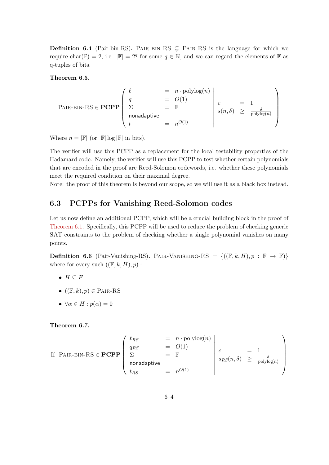**Definition 6.4** (Pair-bin-RS). PAIR-BIN-RS  $\subseteq$  PAIR-RS is the language for which we require char( $\mathbb{F}$ ) = 2, i.e.  $|\mathbb{F}| = 2^q$  for some  $q \in \mathbb{N}$ , and we can regard the elements of  $\mathbb{F}$  as q-tuples of bits.

<span id="page-31-1"></span>Theorem 6.5.

$$
\text{PAIR-BIN-RS} \in \mathbf{PCPP} \begin{pmatrix} \ell & = & n \cdot \text{polylog}(n) \\ q & = & O(1) \\ \Sigma & = & \mathbb{F} \\ \text{nonadaptive} \\ t & = & n^{O(1)} \end{pmatrix} \begin{matrix} c & = & 1 \\ c & = & 1 \\ s(n, \delta) & \geq & \frac{\delta}{\text{polylog}(n)} \\ \frac{\delta}{\text{polylog}(n)} & \frac{\delta}{\text{polylog}(n)} \end{matrix}
$$

Where  $n = |\mathbb{F}|$  (or  $|\mathbb{F}| \log |\mathbb{F}|$  in bits).

The verifier will use this PCPP as a replacement for the local testability properties of the Hadamard code. Namely, the verifier will use this PCPP to test whether certain polynomials that are encoded in the proof are Reed-Solomon codewords, i.e. whether these polynomials meet the required condition on their maximal degree.

Note: the proof of this theorem is beyond our scope, so we will use it as a black box instead.

# <span id="page-31-0"></span>6.3 PCPPs for Vanishing Reed-Solomon codes

Let us now define an additional PCPP, which will be a crucial building block in the proof of [Theorem 6.1.](#page-29-1) Specifically, this PCPP will be used to reduce the problem of checking generic SAT constraints to the problem of checking whether a single polynomial vanishes on many points.

<span id="page-31-3"></span>**Definition 6.6** (Pair-Vanishing-RS). PAIR-VANISHING-RS =  $\{((\mathbb{F}, k, H), p : \mathbb{F} \to \mathbb{F})\}$ where for every such  $((\mathbb{F}, k, H), p)$ :

- $H \subseteq F$
- $((\mathbb{F}, k), p) \in \text{PAIR-RS}$
- $\forall \alpha \in H : p(\alpha) = 0$

<span id="page-31-2"></span>Theorem 6.7.

If PAR-BIN-RS 
$$
\in
$$
 **PCPP**\n
$$
\begin{pmatrix}\n\ell_{RS} & = & n \cdot \text{polylog}(n) \\
q_{RS} & = & O(1) \\
\Sigma & = & \mathbb{F} \\
\text{nonadaptive} \\
t_{RS} & = & n^{O(1)}\n\end{pmatrix}\n\begin{pmatrix}\nc & = & 1 \\
s_{RS}(n, \delta) & \geq & \frac{\delta}{\text{polylog}(n)} \\
\text{polylog}(n)\n\end{pmatrix}
$$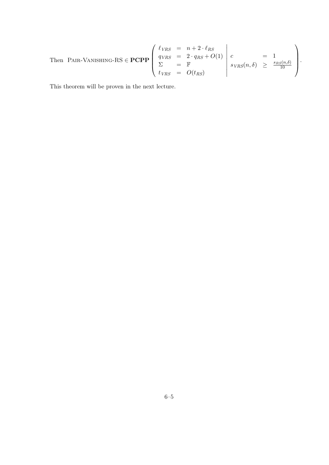Then PAR-VANISHING-RS 
$$
\in
$$
 **PCPP** 
$$
\begin{pmatrix} \ell_{VRS} = n + 2 \cdot \ell_{RS} \\ q_{VRS} = 2 \cdot q_{RS} + O(1) \\ \Sigma = \mathbb{F} \\ t_{VRS} = O(t_{RS}) \end{pmatrix} \begin{pmatrix} c \\ s_{VRS}(n, \delta) \geq \frac{s_{RS}(n, \delta)}{10} \end{pmatrix}.
$$

This theorem will be proven in the next lecture.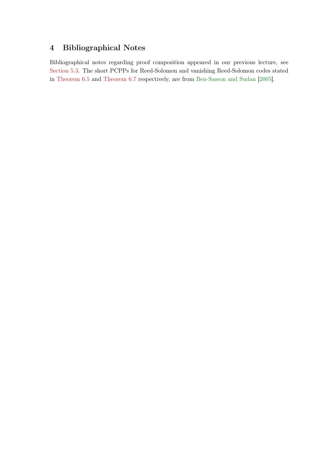# <span id="page-33-0"></span>4 Bibliographical Notes

Bibliographical notes regarding proof composition appeared in our previous lecture, see [Section 5.3.](#page-27-0) The short PCPPs for Reed-Solomon and vanishing Reed-Solomon codes stated in [Theorem 6.5](#page-31-1) and [Theorem 6.7](#page-31-2) respectively, are from [Ben-Sasson and Sudan](#page-65-8) [\[2005\]](#page-65-8).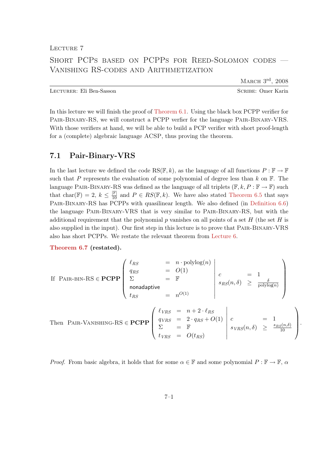<span id="page-34-0"></span>LECTURE 7

# Short PCPs based on PCPPs for Reed-Solomon codes — Vanishing RS-codes and Arithmetization

March 3rd, 2008

.

Lecturer: Eli Ben-Sasson Scribe: Omer Karin

In this lecture we will finish the proof of [Theorem 6.1.](#page-29-1) Using the black box PCPP verifier for Pair-Binary-RS, we will construct a PCPP verfier for the language Pair-Binary-VRS. With those verifiers at hand, we will be able to build a PCP verifier with short proof-length for a (complete) algebraic language ACSP, thus proving the theorem.

# <span id="page-34-1"></span>7.1 Pair-Binary-VRS

In the last lecture we defined the code RS( $\mathbb{F}, k$ ), as the language of all functions  $P : \mathbb{F} \to \mathbb{F}$ such that P represents the evaluation of some polynomial of degree less than  $k$  on  $\mathbb{F}$ . The language PAIR-BINARY-RS was defined as the language of all triplets  $(\mathbb{F}, k, P : \mathbb{F} \to \mathbb{F})$  such that char( $\mathbb{F}) = 2, k \leq \frac{|\mathbb{F}|}{10}$  and  $P \in RS(\mathbb{F}, k)$ . We have also stated [Theorem 6.5](#page-31-1) that says Pair-Binary-RS has PCPPs with quasilinear length. We also defined (in [Definition 6.6\)](#page-31-3) the language Pair-Binary-VRS that is very similar to Pair-Binary-RS, but with the additional requirement that the polynomial p vanishes on all points of a set  $H$  (the set  $H$  is also supplied in the input). Our first step in this lecture is to prove that Pair-Binary-VRS also has short PCPPs. We restate the relevant theorem from [Lecture 6.](#page-28-0)

[Theorem 6.7](#page-31-2) (restated).

If PAR-BIN-RS 
$$
\in
$$
 PCPPP\n
$$
\begin{pmatrix}\n\ell_{RS} & = & n \cdot \text{polylog}(n) \\
q_{RS} & = & O(1) \\
\Sigma & = & \mathbb{F} \\
\text{nonadaptive} \\
t_{RS} & = & n^{O(1)}\n\end{pmatrix}\n\begin{pmatrix}\nc & = & 1 \\
s_{RS}(n, \delta) & \geq & \frac{\delta}{\text{polylog}(n)} \\
s_{RS}(n, \delta) & \geq & \frac{\delta}{\text{polylog}(n)}\n\end{pmatrix}
$$
\nThen PAR-VANISHING-RS  $\in$  PCPP\n
$$
\begin{pmatrix}\n\ell_{VRS} = & n + 2 \cdot \ell_{RS} \\
q_{VRS} = & 2 \cdot q_{RS} + O(1) \\
\sum_{t_{VRS} = & O(t_{RS})\n\end{pmatrix}\n\begin{pmatrix}\nc & = & 1 \\
s_{VRS}(n, \delta) & \geq & \frac{s_{RS}(n, \delta)}{10} \\
s_{VRS}(n, \delta) & \geq & \frac{s_{RS}(n, \delta)}{10}\n\end{pmatrix}
$$

*Proof.* From basic algebra, it holds that for some  $\alpha \in \mathbb{F}$  and some polynomial  $P : \mathbb{F} \to \mathbb{F}$ ,  $\alpha$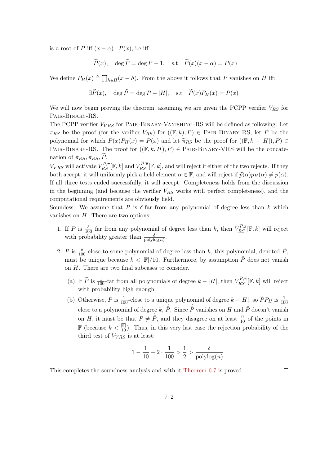is a root of P iff  $(x - \alpha) | P(x)$ , i.e iff:

$$
\exists \widetilde{P}(x), \quad \deg \widetilde{P} = \deg P - 1, \quad \text{s.t} \quad \widetilde{P}(x)(x - \alpha) = P(x)
$$

We define  $P_H(x) \triangleq \prod_{h \in H}(x - h)$ . From the above it follows that P vanishes on H iff:

$$
\exists \widetilde{P}(x), \quad \deg \widetilde{P} = \deg P - |H|, \quad \text{s.t} \quad \widetilde{P}(x)P_H(x) = P(x)
$$

We will now begin proving the theorem, assuming we are given the PCPP verifier  $V_{RS}$  for Pair-Binary-RS.

The PCPP verifier  $V_{VBS}$  for PAIR-BINARY-VANISHING-RS will be defined as following: Let  $\pi_{RS}$  be the proof (for the verifier  $V_{RS}$ ) for  $((\mathbb{F},k), P) \in \text{PAIR-BINARY-RS}$ , let  $\widetilde{P}$  be the polynomial for which  $\widetilde{P}(x)P_H(x) = P(x)$  and let  $\widetilde{\pi}_{RS}$  be the proof for  $((\mathbb{F}, k - |H|), \widetilde{P}) \in$ PAIR-BINARY-RS. The proof for  $((\mathbb{F}, k, H), P) \in$  PAIR-BINARY-VRS will be the concatenation of  $\widetilde{\pi}_{RS}, \pi_{RS}, P$ .

 $V_{VRS}$  will activate  $V_{RS}^{P,\pi}[\mathbb{F},k]$  and  $V_{RS}^{P,\widetilde{\pi}}[\mathbb{F},k]$ , and will reject if either of the two rejects. If they both accept, it will uniformly pick a field element  $\alpha \in \mathbb{F}$ , and will reject if  $\tilde{p}(\alpha)p_H(\alpha) \neq p(\alpha)$ . If all three tests ended successfully, it will accept. Completeness holds from the discussion in the beginning (and because the verifier  $V_{RS}$  works with perfect completeness), and the computational requirements are obviously held.

Soundess: We assume that P is  $\delta$ -far from any polynomial of degree less than k which vanishes on  $H$ . There are two options:

- 1. If P is  $\frac{\delta}{100}$  far from any polynomial of degree less than k, then  $V_{RS}^{P,\pi}[\mathbb{F},k]$  will reject with probability greater than  $\frac{\delta}{\text{polylog}(n)}$ .
- 2. P is  $\frac{\delta}{100}$ -close to some polynomial of degree less than k, this polynomial, denoted  $\hat{P}$ , must be unique because  $k < |\mathbb{F}|/10$ . Furthermore, by assumption  $\hat{P}$  does not vanish on H. There are two final subcases to consider.
	- (a) If  $\widetilde{P}$  is  $\frac{1}{100}$ -far from all polynomials of degree  $k |H|$ , then  $V_{RS}^{P,\widetilde{\pi}}[\mathbb{F},k]$  will reject with probability high enough.
	- (b) Otherwise,  $\widetilde{P}$  is  $\frac{1}{100}$ -close to a unique polynomial of degree  $k-|H|$ , so  $\widetilde{P}P_H$  is  $\frac{1}{100}$ close to a polynomial of degree  $k, \hat{P}$ . Since  $\hat{P}$  vanishes on H and  $\hat{P}$  doesn't vanishe on H, it must be that  $\hat{P} \neq \hat{P}$ , and they disagree on at least  $\frac{9}{10}$  of the points in **F** (because  $k < \frac{F}{10}$ ). Thus, in this very last case the rejection probability of the third test of  $V_{VRS}$  is at least:

$$
1 - \frac{1}{10} - 2 \cdot \frac{1}{100} > \frac{1}{2} > \frac{\delta}{\text{polylog}(n)}
$$

This completes the soundness analysis and with it [Theorem 6.7](#page-31-2) is proved.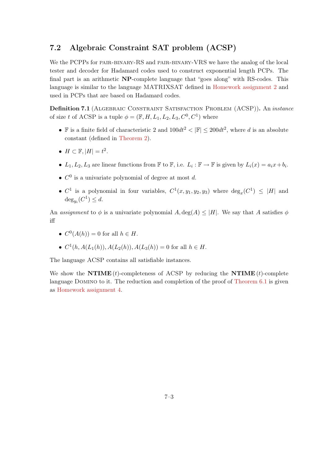# <span id="page-36-0"></span>7.2 Algebraic Constraint SAT problem (ACSP)

We the PCPPs for PAIR-BINARY-RS and PAIR-BINARY-VRS we have the analog of the local tester and decoder for Hadamard codes used to construct exponential length PCPs. The final part is an arithmetic NP-complete language that "goes along" with RS-codes. This language is similar to the language MATRIXSAT defined in [Homework assignment 2](#page-59-0) and used in PCPs that are based on Hadamard codes.

Definition 7.1 (ALGEBRAIC CONSTRAINT SATISFACTION PROBLEM (ACSP)). An *instance* of size t of ACSP is a tuple  $\phi = (\mathbb{F}, H, L_1, L_2, L_3, C^0, C^1)$  where

- F is a finite field of characteristic 2 and  $100dt^2 < |\mathbb{F}| \le 200dt^2$ , where d is an absolute constant (defined in [Theorem 2\)](#page-62-1).
- $H \subset \mathbb{F}, |H| = t^2$ .
- $L_1, L_2, L_3$  are linear functions from  $\mathbb F$  to  $\mathbb F$ , i.e.  $L_i : \mathbb F \to \mathbb F$  is given by  $L_i(x) = a_i x + b_i$ .
- $C^0$  is a univariate polynomial of degree at most d.
- $C^1$  is a polynomial in four variables,  $C^1(x, y_1, y_2, y_3)$  where  $\deg_x(C^1) \leq |H|$  and  $\deg_{y_i}(C^1) \leq d.$

An assignment to  $\phi$  is a univariate polynomial  $A, \deg(A) \leq |H|$ . We say that A satisfies  $\phi$ iff

- $C^0(A(h)) = 0$  for all  $h \in H$ .
- $C^1(h, A(L_1(h)), A(L_2(h)), A(L_3(h)) = 0$  for all  $h \in H$ .

The language ACSP contains all satisfiable instances.

We show the **NTIME** (t)-completeness of ACSP by reducing the **NTIME** (t)-complete language DOMINO to it. The reduction and completion of the proof of [Theorem 6.1](#page-29-1) is given as [Homework assignment 4.](#page-62-0)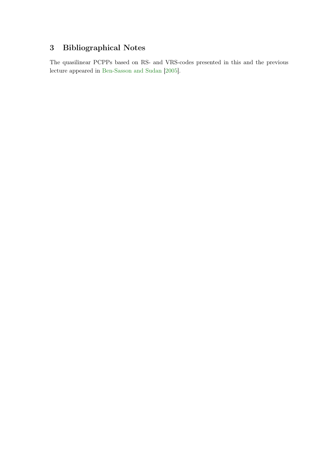# <span id="page-37-0"></span>3 Bibliographical Notes

The quasilinear PCPPs based on RS- and VRS-codes presented in this and the previous lecture appeared in [Ben-Sasson and Sudan](#page-65-8) [\[2005\]](#page-65-8).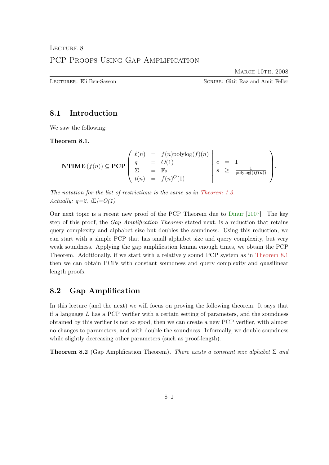MARCH 10TH, 2008

<span id="page-38-0"></span>Lecturer: Eli Ben-Sasson Scribe: Gitit Raz and Amit Feller

# <span id="page-38-1"></span>8.1 Introduction

<span id="page-38-3"></span>We saw the following:

Theorem 8.1.

$$
\textbf{NTIME}(f(n)) \subseteq \textbf{PCP}\left(\begin{array}{ccc} \ell(n) & = & f(n)\text{polylog}(f)(n) \\ q & = & O(1) \\ \Sigma & = & \mathbb{F}_2 \\ t(n) & = & f(n)^O(1) \end{array}\right) \left(\begin{array}{ccc} c & = & 1 \\ s & \geq & \frac{1}{\text{polylog}(f)(n))} \\ \end{array}\right).
$$

The notation for the list of restrictions is the same as in [Theorem 1.3.](#page-6-1) Actually:  $q=2, |\Sigma|=O(1)$ 

Our next topic is a recent new proof of the PCP Theorem due to [Dinur](#page-65-7) [\[2007\]](#page-65-7). The key step of this proof, the Gap Amplification Theorem stated next, is a reduction that retains query complexity and alphabet size but doubles the soundness. Using this reduction, we can start with a simple PCP that has small alphabet size and query complexity, but very weak soundness. Applying the gap amplification lemma enough times, we obtain the PCP Theorem. Additionally, if we start with a relatively sound PCP system as in [Theorem 8.1](#page-38-3) then we can obtain PCPs with constant soundness and query complexity and quasilinear length proofs.

# <span id="page-38-2"></span>8.2 Gap Amplification

In this lecture (and the next) we will focus on proving the following theorem. It says that if a language  $L$  has a PCP verifier with a certain setting of parameters, and the soundness obtained by this verifier is not so good, then we can create a new PCP verifier, with almost no changes to parameters, and with double the soundness. Informally, we double soundness while slightly decreasing other parameters (such as proof-length).

<span id="page-38-4"></span>**Theorem 8.2** (Gap Amplification Theorem). There exists a constant size alphabet  $\Sigma$  and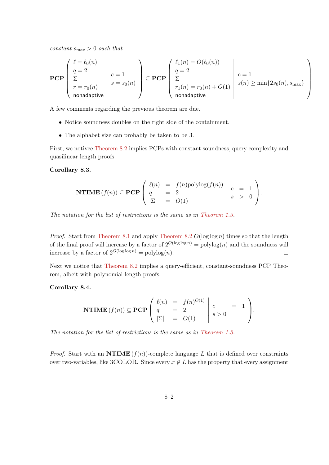$constant \, s_{\rm max} > 0 \, \, such \, \, that$ 

$$
\mathbf{PCP}\left(\begin{array}{c} \ell = \ell_0(n) \\ q = 2 \\ \Sigma \\ r = r_0(n) \\ \text{nonadaptive} \end{array}\right) c = 1 \sum_{s = s_0(n)} \left(\begin{array}{c} \ell_1(n) = O(\ell_0(n)) \\ q = 2 \\ \Sigma \\ r_1(n) = r_0(n) + O(1) \\ \text{nonadaptive} \end{array}\right) c = 1 \sum_{s(n) \ge \min\{2s_0(n), s_{\max}\}} \right)
$$

.

A few comments regarding the previous theorem are due.

- Notice soundness doubles on the right side of the containment.
- The alphabet size can probably be taken to be 3.

First, we notivce [Theorem 8.2](#page-38-4) implies PCPs with constant soundness, query complexity and quasilinear length proofs.

#### <span id="page-39-0"></span>Corollary 8.3.

$$
\mathbf{NTIME}(f(n)) \subseteq \mathbf{PCP}\left(\begin{array}{ccc} \ell(n) & = & f(n)\text{polylog}(f(n)) \\ q & = & 2 \\ |\Sigma| & = & O(1) \end{array}\middle| \begin{array}{ccc} c & = & 1 \\ s & > & 0 \end{array}\right).
$$

The notation for the list of restrictions is the same as in [Theorem 1.3.](#page-6-1)

*Proof.* Start from [Theorem 8.1](#page-38-3) and apply [Theorem 8.2](#page-38-4)  $O(\log \log n)$  times so that the length of the final proof will increase by a factor of  $2^{O(\log \log n)}$  = polylog(n) and the soundness will increase by a factor of  $2^{O(\log \log n)}$  = polylog(*n*).  $\Box$ 

Next we notice that [Theorem 8.2](#page-38-4) implies a query-efficient, constant-soundness PCP Theorem, albeit with polynomial length proofs.

#### <span id="page-39-1"></span>Corollary 8.4.

$$
\textbf{NTIME}(f(n)) \subseteq \textbf{PCP}\left(\begin{array}{ccc} \ell(n) & = & f(n)^{O(1)} \\ q & = & 2 \\ |\Sigma| & = & O(1) \end{array}\middle| \begin{array}{ccc} c & = & 1 \\ s > 0 & \end{array}\right).
$$

The notation for the list of restrictions is the same as in [Theorem 1.3.](#page-6-1)

*Proof.* Start with an  $\text{NTIME}(f(n))$ -complete language L that is defined over constraints over two-variables, like 3COLOR. Since every  $x \notin L$  has the property that every assignment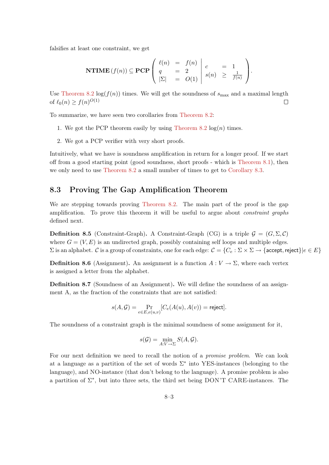falsifies at least one constraint, we get

$$
\mathbf{NTIME}\left(f(n)\right) \subseteq \mathbf{PCP}\left(\begin{array}{ccc} \ell(n) & = & f(n) \\ q & = & 2 \\ |\Sigma| & = & O(1) \end{array}\middle| \begin{array}{ccc} c & = & 1 \\ s(n) & \geq & \frac{1}{f(n)} \end{array}\right).
$$

Use [Theorem 8.2](#page-38-4)  $\log(f(n))$  times. We will get the soundness of  $s_{\text{max}}$  and a maximal length of  $\ell_0(n) \ge f(n)^{O(1)}$  $\Box$ 

To summarize, we have seen two corollaries from [Theorem 8.2:](#page-38-4)

- 1. We got the PCP theorem easily by using [Theorem 8.2](#page-38-4)  $log(n)$  times.
- 2. We got a PCP verifier with very short proofs.

Intuitively, what we have is soundness amplification in return for a longer proof. If we start off from a good starting point (good soundness, short proofs - which is [Theorem 8.1\)](#page-38-3), then we only need to use [Theorem 8.2](#page-38-4) a small number of times to get to [Corollary 8.3.](#page-39-0)

# <span id="page-40-0"></span>8.3 Proving The Gap Amplification Theorem

We are stepping towards proving [Theorem 8.2.](#page-38-4) The main part of the proof is the gap amplification. To prove this theorem it will be useful to argue about *constraint graphs* defined next.

<span id="page-40-2"></span>**Definition 8.5** (Constraint-Graph). A Constraint-Graph (CG) is a triple  $G = (G, \Sigma, \mathcal{C})$ where  $G = (V, E)$  is an undirected graph, possibly containing self loops and multiple edges.  $\Sigma$  is an alphabet. C is a group of constraints, one for each edge:  $C = \{C_e : \Sigma \times \Sigma \to \{\text{accept}, \text{reject}\}\mid e \in E\}$ 

**Definition 8.6** (Assignment). An assignment is a function  $A: V \to \Sigma$ , where each vertex is assigned a letter from the alphabet.

<span id="page-40-1"></span>Definition 8.7 (Soundness of an Assignment). We will define the soundness of an assignment A, as the fraction of the constraints that are not satisfied:

$$
s(A,\mathcal{G})=\Pr_{e\in E, e(u,v)}[C_e(A(u),A(v))={\sf reject}].
$$

The soundness of a constraint graph is the minimal soundness of some assignment for it,

$$
s(\mathcal{G}) = \min_{A:V \to \Sigma} S(A, \mathcal{G}).
$$

For our next definition we need to recall the notion of a promise problem. We can look at a language as a partition of the set of words  $\Sigma^*$  into YES-instances (belonging to the language), and NO-instance (that don't belong to the language). A promise problem is also a partition of  $\Sigma^*$ , but into three sets, the third set being DON'T CARE-instances. The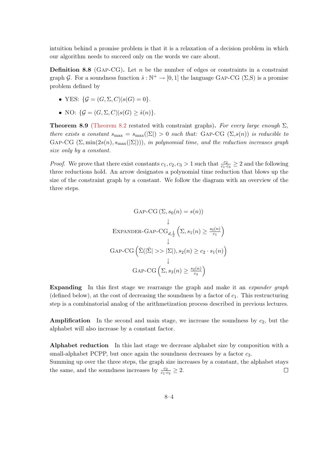intuition behind a promise problem is that it is a relaxation of a decision problem in which our algorithm needs to succeed only on the words we care about.

**Definition 8.8** (GAP-CG). Let n be the number of edges or constraints in a constraint graph G. For a soundness function  $\hat{s}: \mathbb{N}^+ \to [0,1]$  the language GAP-CG ( $\Sigma$ ,S) is a promise problem defined by

- YES:  $\mathcal{G} = (G, \Sigma, C)|s(G) = 0$ .
- NO:  $\{G = (G, \Sigma, C)|s(G) > \hat{s}(n)\}.$

<span id="page-41-0"></span>**Theorem 8.9** [\(Theorem 8.2](#page-38-4) restated with constraint graphs). For every large enough  $\Sigma$ , there exists a constant  $s_{\text{max}} = s_{\text{max}}(|\Sigma|) > 0$  such that: GAP-CG  $(\Sigma, s(n))$  is reducible to GAP-CG  $(\Sigma, \min(2s(n), s_{\max}(|\Sigma|)))$ , in polynomial time, and the reduction increases graph size only by a constant.

*Proof.* We prove that there exist constants  $c_1, c_2, c_3 > 1$  such that  $\frac{c_2}{c_1 \cdot c_3} \geq 2$  and the following three reductions hold. An arrow designates a polynomial time reduction that blows up the size of the constraint graph by a constant. We follow the diagram with an overview of the three steps.

$$
GAP-CG (\Sigma, s_0(n) = s(n))
$$
  
\n
$$
\downarrow
$$
  
\nEXPANDER-GAP-CG<sub>d, \frac{1}{2}</sub>  $\left(\Sigma, s_1(n) \ge \frac{s_0(n)}{c_1}\right)$   
\n
$$
\downarrow
$$
  
\n
$$
GAP-CG\left(\hat{\Sigma}(|\hat{\Sigma}| >> |\Sigma|), s_2(n) \ge c_2 \cdot s_1(n)\right)
$$
  
\n
$$
\downarrow
$$
  
\n
$$
GAP-CG\left(\Sigma, s_3(n) \ge \frac{s_2(n)}{c_3}\right)
$$

Expanding In this first stage we rearrange the graph and make it an *expander graph* (defined below), at the cost of decreasing the soundness by a factor of  $c_1$ . This restructuring step is a combinatorial analog of the arithmetization process described in previous lectures.

**Amplification** In the second and main stage, we increase the soundness by  $c_2$ , but the alphabet will also increase by a constant factor.

Alphabet reduction In this last stage we decrease alphabet size by composition with a small-alphabet PCPP, but once again the soundness decreases by a factor  $c_3$ .

Summing up over the three steps, the graph size increases by a constant, the alphabet stays the same, and the soundness increases by  $\frac{c_2}{c_1 \cdot c_3} \geq 2$ .  $\Box$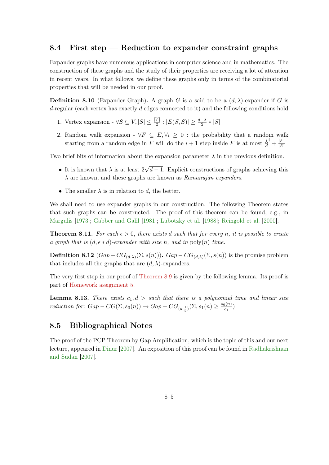# <span id="page-42-0"></span>8.4 First step — Reduction to expander constraint graphs

Expander graphs have numerous applications in computer science and in mathematics. The construction of these graphs and the study of their properties are receiving a lot of attention in recent years. In what follows, we define these graphs only in terms of the combinatorial properties that will be needed in our proof.

**Definition 8.10** (Expander Graph). A graph G is a said to be a  $(d, \lambda)$ -expander if G is d-regular (each vertex has exactly d edges connected to it) and the following conditions hold

- 1. Vertex expansion  $\forall S \subseteq V, |S| \leq \frac{|V|}{2} : |E(S, \overline{S})| \geq \frac{d-\lambda}{2} * |S|$
- 2. Random walk expansion  $\forall F \subseteq E, \forall i \geq 0$ : the probability that a random walk starting from a random edge in F will do the  $i+1$  step inside F is at most  $\frac{\lambda}{d}$  $i+\frac{|F|}{|E|}$  $|E|$

Two brief bits of information about the expansion parameter  $\lambda$  in the previous definition.

- It is known that  $\lambda$  is at least 2 √  $d-1$ . Explicit constructions of graphs achieving this  $\lambda$  are known, and these graphs are known as *Ramanujan expanders*.
- The smaller  $\lambda$  is in relation to d, the better.

We shall need to use expander graphs in our construction. The following Theorem states that such graphs can be constructed. The proof of this theorem can be found, e.g., in [Margulis](#page-66-5) [\[1973\]](#page-66-5); [Gabber and Galil](#page-65-14) [\[1981\]](#page-65-14); [Lubotzky et al.](#page-66-6) [\[1988\]](#page-66-6); [Reingold et al.](#page-66-7) [\[2000\]](#page-66-7).

**Theorem 8.11.** For each  $\epsilon > 0$ , there exists d such that for every n, it is possible to create a graph that is  $(d, \epsilon * d)$ -expander with size n, and in  $\text{poly}(n)$  time.

**Definition 8.12**  $(Gap - CG_{(d,\lambda)}(\Sigma, s(n)))$ .  $Gap - CG_{(d,\lambda)}(\Sigma, s(n))$  is the promise problem that includes all the graphs that are  $(d, \lambda)$ -expanders.

The very first step in our proof of [Theorem 8.9](#page-41-0) is given by the following lemma. Its proof is part of [Homework assignment 5.](#page-64-0)

**Lemma 8.13.** There exists  $c_1, d >$  such that there is a polynomial time and linear size reduction for:  $Gap - CG(\Sigma, s_0(n)) \rightarrow Gap - CG_{(d, \frac{1}{2})}(\Sigma, s_1(n)) \geq \frac{s_0(n)}{c_1}$  $\frac{c_1^{(n)}}{c_1}$ 

# <span id="page-42-1"></span>8.5 Bibliographical Notes

The proof of the PCP Theorem by Gap Amplification, which is the topic of this and our next lecture, appeared in [Dinur](#page-65-7) [\[2007\]](#page-65-7). An exposition of this proof can be found in [Radhakrishnan](#page-66-8) [and Sudan](#page-66-8) [\[2007\]](#page-66-8).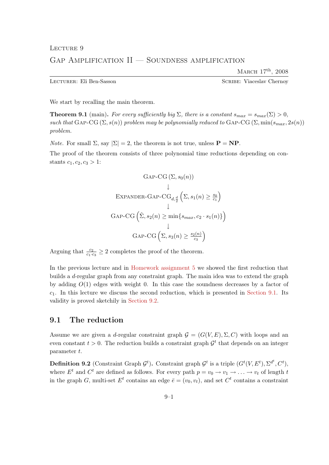MARCH  $17<sup>th</sup>$ , 2008

<span id="page-43-0"></span>Lecturer: Eli Ben-Sasson Scribe: Viaceslav Chernoy

<span id="page-43-2"></span>We start by recalling the main theorem.

**Theorem 9.1** (main). For every sufficiently big  $\Sigma$ , there is a constant  $s_{max} = s_{max}(\Sigma) > 0$ , such that GAP-CG  $(\Sigma, s(n))$  problem may be polynomially reduced to GAP-CG  $(\Sigma, \min(s_{max}, 2s(n)))$ problem.

*Note.* For small  $\Sigma$ , say  $|\Sigma| = 2$ , the theorem is not true, unless  $\mathbf{P} = \mathbf{NP}$ .

The proof of the theorem consists of three polynomial time reductions depending on constants  $c_1, c_2, c_3 > 1$ :

$$
GAP-CG (\Sigma, s_0(n))
$$
\n
$$
\downarrow
$$
\n
$$
\text{EXPANDER-GAP-CG}_{d, \frac{d}{2}} (\Sigma, s_1(n) \ge \frac{s_0}{c_1})
$$
\n
$$
\downarrow
$$
\n
$$
GAP-CG (\hat{\Sigma}, s_2(n) \ge \min\{s_{max}, c_2 \cdot s_1(n)\})
$$
\n
$$
\downarrow
$$
\n
$$
GAP-CG (\Sigma, s_3(n) \ge \frac{s_2(n)}{c_3})
$$

Arguing that  $\frac{c_2}{c_1 \cdot c_3} \geq 2$  completes the proof of the theorem.

In the previous lecture and in [Homework assignment 5](#page-64-0) we showed the first reduction that builds a d-regular graph from any constraint graph. The main idea was to extend the graph by adding  $O(1)$  edges with weight 0. In this case the soundness decreases by a factor of  $c_1$ . In this lecture we discuss the second reduction, which is presented in [Section 9.1.](#page-43-1) Its validity is proved sketchily in [Section 9.2.](#page-44-0)

# <span id="page-43-1"></span>9.1 The reduction

Assume we are given a d-regular constraint graph  $\mathcal{G} = (G(V, E), \Sigma, C)$  with loops and an even constant  $t > 0$ . The reduction builds a constraint graph  $\mathcal{G}^t$  that depends on an integer parameter t.

**Definition 9.2** (Constraint Graph  $\mathcal{G}^t$ ). Constraint graph  $\mathcal{G}^t$  is a triple  $(G^t(V, E^t), \Sigma^{d^t}, C^t)$ , where  $E^t$  and  $C^t$  are defined as follows. For every path  $p = v_0 \to v_1 \to \ldots \to v_t$  of length t in the graph G, multi-set  $E^t$  contains an edge  $\bar{e} = (v_0, v_t)$ , and set  $C^t$  contains a constraint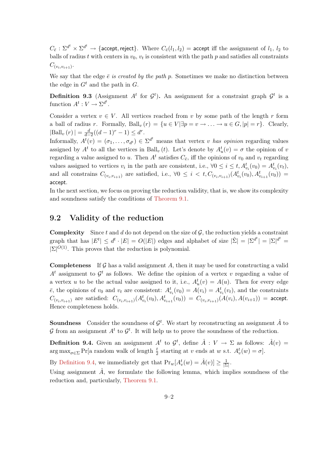$C_{\bar{e}}: \Sigma^{d^t} \times \Sigma^{d^t} \to \{\textsf{accept}, \textsf{reject}\}.$  Where  $C_{\bar{e}}(l_1, l_2) = \textsf{accept} \text{ iff the assignment of } l_1, \, l_2 \text{ to }$ balls of radius t with centers in  $v_0$ ,  $v_t$  is consistent with the path p and satisfies all constraints  $C_{(v_i, v_{i+1})}$ .

We say that the edge  $\bar{e}$  is created by the path p. Sometimes we make no distinction between the edge in  $G<sup>t</sup>$  and the path in G.

**Definition 9.3** (Assignment  $A^t$  for  $\mathcal{G}^t$ ). An assignment for a constraint graph  $\mathcal{G}^t$  is a function  $A^t: V \to \Sigma^{d^t}$ .

Consider a vertex  $v \in V$ . All vertices reached from v by some path of the length r form a ball of radius r. Formally,  $\text{Ball}_v(r) = \{u \in V | \exists p = v \rightarrow \ldots \rightarrow u \in G, |p| = r\}.$  Clearly,  $|\text{Ball}_v(r)| = \frac{d}{d-2}((d-1)^r - 1) \leq d^r.$ 

Informally,  $A^t(v) = (\sigma_1, \ldots, \sigma_{d^t}) \in \Sigma^{d^t}$  means that vertex v has opinion regarding values assigned by  $A^t$  to all the vertices in Ball<sub>v</sub>(*t*). Let's denote by  $A_u^t(v) = \sigma$  the opinion of v regarding a value assigned to u. Then  $A<sup>t</sup>$  satisfies  $C_{\bar{e}}$ , iff the opinions of  $v_0$  and  $v_t$  regarding values assigned to vertices  $v_i$  in the path are consistent, i.e.,  $\forall 0 \leq i \leq t, A^t_{v_i}(v_0) = A^t_{v_i}(v_t)$ , and all constrains  $C_{(v_i,v_{i+1})}$  are satisfied, i.e.,  $\forall 0 \leq i \leq t, C_{(v_i,v_{i+1})}(A^t_{v_i}(v_0), A^t_{v_{i+1}}(v_0)) =$ accept.

In the next section, we focus on proving the reduction validity, that is, we show its complexity and soundness satisfy the conditions of [Theorem 9.1.](#page-43-2)

# <span id="page-44-0"></span>9.2 Validity of the reduction

**Complexity** Since t and d do not depend on the size of  $\mathcal{G}$ , the reduction yields a constraint graph that has  $|E^t| \leq d^t \cdot |E| = O(|E|)$  edges and alphabet of size  $|\hat{\Sigma}| = |\Sigma^{d^t}| = |\Sigma^{d^t}|$  $|\Sigma|^{O(1)}$ . This proves that the reduction is polynomial.

**Completeness** If G has a valid assignment A, then it may be used for constructing a valid  $A<sup>t</sup>$  assignment to  $\mathcal{G}<sup>t</sup>$  as follows. We define the opinion of a vertex v regarding a value of a vertex u to be the actual value assigned to it, i.e.,  $A_u^t(v) = A(u)$ . Then for every edge  $\bar{e}$ , the opinions of  $v_0$  and  $v_t$  are consistent:  $A_{v_i}^t(v_0) = A(v_i) = A_{v_i}^t(v_t)$ , and the constraints  $C_{(v_i,v_{i+1})}$  are satisfied:  $C_{(v_i,v_{i+1})}(A_{v_i}^t(v_0),A_{v_{i+1}}^t(v_0)) = C_{(v_i,v_{i+1})}(A(v_i),A(v_{i+1}))$  = accept. Hence completeness holds.

**Soundness** Consider the soundness of  $\mathcal{G}^t$ . We start by reconstructing an assignment  $\hat{A}$  to G from an assignment  $A^t$  to  $\mathcal{G}^t$ . It will help us to prove the soundness of the reduction.

<span id="page-44-1"></span>**Definition 9.4.** Given an assignment  $A^t$  to  $\mathcal{G}^t$ , define  $\hat{A}: V \to \Sigma$  as follows:  $\hat{A}(v)$  =  $\arg \max_{\sigma \in \Sigma} \Pr[\text{a random walk of length } \frac{t}{2} \text{ starting at } v \text{ ends at } w \text{ s.t. } A_v^t(w) = \sigma].$ 

By [Definition 9.4,](#page-44-1) we immediately get that  $Pr_w[A_v^t(w) = \hat{A}(v)] \ge \frac{1}{|\Sigma|}$  $\frac{1}{|\Sigma|}$ .

<span id="page-44-2"></span>Using assignment  $\hat{A}$ , we formulate the following lemma, which implies soundness of the reduction and, particularly, [Theorem 9.1.](#page-43-2)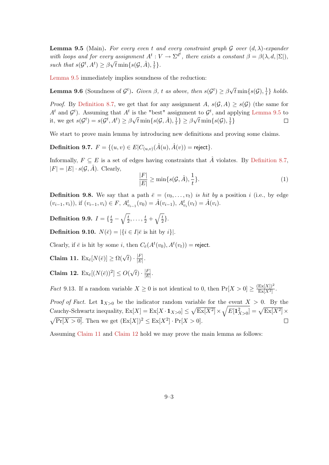**Lemma 9.5** (Main). For every even t and every constraint graph G over  $(d, \lambda)$ -expander with loops and for every assignment  $A^t: V \to \Sigma^{d^t}$ , there exists a constant  $\beta = \beta(\lambda, d, |\Sigma|)$ , such that  $s(\mathcal{G}^t, A^t) \geq \beta$ y assignment A<br>  $\sqrt{t}$  min $\{s(\mathcal{G}, \hat{A}), \frac{1}{t}\}$  $\frac{1}{t}$ .

[Lemma 9.5](#page-44-2) immediately implies soundness of the reduction:

**Lemma 9.6** (Soundness of  $\mathcal{G}^t$ ). Given  $\beta$ , t as above, then  $s(\mathcal{G}^t) \geq \beta$ √  $\overline{t}\min\{s(\mathcal{G}),\frac{1}{t}\}$  $\frac{1}{t}$  holds.

*Proof.* By [Definition 8.7,](#page-40-1) we get that for any assignment A,  $s(\mathcal{G}, A) \geq s(\mathcal{G})$  (the same for  $A<sup>t</sup>$  and  $G<sup>t</sup>$ ). Assuming that  $A<sup>t</sup>$  is the "best" assignment to  $G<sup>t</sup>$ , and applying [Lemma 9.5](#page-44-2) to  $\sqrt{t} \min\{s(\mathcal{G}, \hat{A}), \frac{1}{t}\}$ µ∪<br>.  $\overline{t}\min\{s(\mathcal{G}),\frac{1}{t}\}$ it, we get  $s(\mathcal{G}^t) = s(\mathcal{G}^t, A^t) \geq \beta$  $\frac{1}{t}$ }  $\geq \beta$  $\frac{1}{t}$  $\Box$ 

We start to prove main lemma by introducing new definitions and proving some claims.

Definition 9.7.  $F = \{(u, v) \in E | C_{(u,v)}(\hat{A}(u), \hat{A}(v)) = \text{reject}\}.$ 

Informally,  $F \subseteq E$  is a set of edges having constraints that  $\hat{A}$  violates. By [Definition 8.7,](#page-40-1)  $|F| = |E| \cdot s(\mathcal{G}, \hat{A})$ . Clearly,

<span id="page-45-4"></span>
$$
\frac{|F|}{|E|} \ge \min\{s(\mathcal{G}, \hat{A}), \frac{1}{t}\}.
$$
\n(1)

<span id="page-45-2"></span>**Definition 9.8.** We say that a path  $\bar{e} = (v_0, \ldots, v_t)$  is hit by a position i (i.e., by edge  $(v_{i-1}, v_i)$ ), if  $(v_{i-1}, v_i) \in F$ ,  $A_{v_{i-1}}^t(v_0) = \hat{A}(v_{i-1})$ ,  $A_{v_i}^t(v_t) = \hat{A}(v_i)$ .

Definition 9.9.  $I=\{\frac{t}{2}-\sqrt{\frac{t}{2}}$  $\frac{t}{2}, \ldots, \frac{t}{2}+\sqrt{\frac{t}{2}}$  $\frac{t}{2}$ .

**Definition 9.10.**  $N(\bar{e}) = |\{i \in I | \bar{e} \text{ is hit by } i\}|.$ 

Clearly, if  $\bar{e}$  is hit by some i, then  $C_{\bar{e}}(A^t(v_0), A^t(v_t)) =$  reject.

<span id="page-45-0"></span>Claim 11.  $\operatorname{Ex}_{\bar{e}}[N(\bar{e})] \ge \Omega(\sqrt{t}) \cdot \frac{|F|}{|E|}$  $\frac{|F|}{|E|}$ .

<span id="page-45-1"></span>Claim 12.  $\operatorname{Ex}_{\bar{e}}[(N(\bar{e}))^2] \leq O($ √  $\overline{t})\cdot\frac{|F|}{|F|}$  $\frac{|F|}{|E|}$ .

<span id="page-45-3"></span>*Fact* 9.13. If a random variable  $X \geq 0$  is not identical to 0, then  $Pr[X > 0] \geq \frac{(Ex[X])^2}{Ex[X^2]}$  $\frac{\operatorname{Ex}[X]}{\operatorname{Ex}[X^2]}$ .

*Proof of Fact.* Let  $\mathbf{1}_{X>0}$  be the indicator random variable for the event  $X > 0$ . By the Cauchy-Schwartz inequality,  $\operatorname{Ex}[X] = \operatorname{Ex}[X \cdot \mathbf{1}_{X>0}] \leq \sqrt{\operatorname{Ex}[X^2]} \times \sqrt{E[\mathbf{1}_{X>0}^2]} = \sqrt{\operatorname{Ex}[X^2]} \times$  $\sqrt{\Pr[X > 0]}$ . Then we get  $(\text{Ex}[X])^2 \leq \text{Ex}[X^2] \cdot \Pr[X > 0]$ .  $\Box$ 

Assuming [Claim 11](#page-45-0) and [Claim 12](#page-45-1) hold we may prove the main lemma as follows: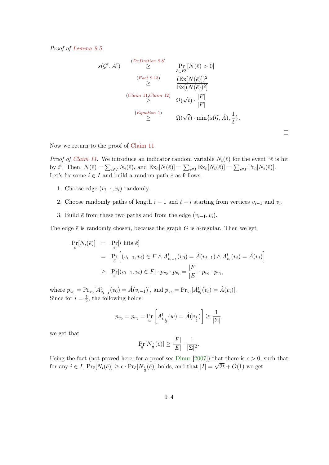Proof of [Lemma 9.5.](#page-44-2)

$$
s(\mathcal{G}^t, A^t) \geq \Pr_{\bar{e} \in E^t}[N(\bar{e}) > 0]
$$
\n
$$
\geq \Pr_{\bar{e} \in E^t}[N(\bar{e}) > 0]
$$
\n
$$
\geq \frac{\left(\text{Ex}[N(\bar{e})]\right)^2}{\text{Ex}[(N(\bar{e}))^2]}
$$
\n
$$
\geq \frac{\left(\text{Claim 11}, \text{Claim 12}\right)}{\text{Ex}[(N(\bar{e}))^2]}
$$
\n
$$
\geq \frac{\Omega(\sqrt{t}) \cdot \frac{|F|}{|E|}}{\Omega(\sqrt{t}) \cdot \min\{s(\mathcal{G}, \hat{A}), \frac{1}{t}\}}.
$$

Now we return to the proof of [Claim 11.](#page-45-0)

*Proof of [Claim 11.](#page-45-0)* We introduce an indicator random variable  $N_i(\bar{e})$  for the event " $\bar{e}$  is hit by *i*". Then,  $N(\bar{e}) = \sum_{i \in I} N_i(\bar{e})$ , and  $\operatorname{Ex}_{\bar{e}}[N(\bar{e})] = \sum_{i \in I} \operatorname{Ex}_{\bar{e}}[N_i(\bar{e})] = \sum_{i \in I} \operatorname{Pr}_{\bar{e}}[N_i(\bar{e})]$ . Let's fix some  $i \in I$  and build a random path  $\bar{e}$  as follows.

- 1. Choose edge  $(v_{i-1}, v_i)$  randomly.
- 2. Choose randomly paths of length  $i-1$  and  $t-i$  starting from vertices  $v_{i-1}$  and  $v_i$ .
- 3. Build  $\bar{e}$  from these two paths and from the edge  $(v_{i-1}, v_i)$ .

The edge  $\bar{e}$  is randomly chosen, because the graph G is d-regular. Then we get

$$
\Pr_{\bar{e}}[N_i(\bar{e})] = \Pr_{\bar{e}}[i \text{ hits } \bar{e}]
$$
\n
$$
= \Pr_{\bar{e}}[(v_{i-1}, v_i) \in F \wedge A_{v_{i-1}}^t(v_0) = \hat{A}(v_{i-1}) \wedge A_{v_i}^t(v_t) = \hat{A}(v_i)]
$$
\n
$$
\geq \Pr_{\bar{e}}[(v_{i-1}, v_i) \in F] \cdot p_{v_0} \cdot p_{v_t} = \frac{|F|}{|E|} \cdot p_{v_0} \cdot p_{v_t},
$$

where  $p_{v_0} = \Pr_{v_0}[A^t_{v_{i-1}}(v_0) = \hat{A}(v_{i-1})]$ , and  $p_{v_t} = \Pr_{v_t}[A^t_{v_i}(v_t) = \hat{A}(v_i)]$ . Since for  $i=\frac{t}{2}$  $\frac{t}{2}$ , the following holds:

$$
p_{v_0} = p_{v_t} = \Pr_w \left[ A_{v_{\frac{t}{2}}}^t(w) = \hat{A}(v_{\frac{t}{2}}) \right] \ge \frac{1}{|\Sigma|},
$$

we get that

$$
\Pr_{\overline{e}}[N_{\frac{t}{2}}(\overline{e})] \ge \frac{|F|}{|E|} \cdot \frac{1}{|\Sigma|^2}.
$$

Using the fact (not proved here, for a proof see [Dinur](#page-65-7) [\[2007\]](#page-65-7)) that there is  $\epsilon > 0$ , such that for any  $i \in I$ ,  $Pr_{\bar{e}}[N_i(\bar{e})] \ge \epsilon \cdot Pr_{\bar{e}}[N_{\frac{t}{2}}(\bar{e})]$  holds, and that  $|I| = \sqrt{2t} + O(1)$  we get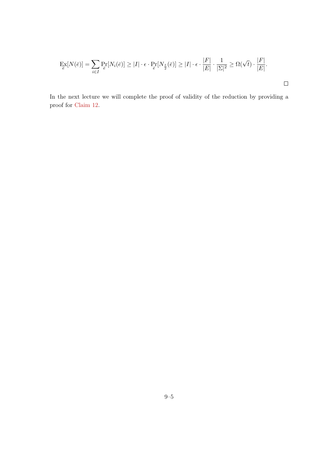$$
\mathop{\mathbf{Ex}}_{\overline{e}}[N(\overline{e})] = \sum_{i \in I} \mathop{\mathbf{Pr}}_{\overline{e}}[N_i(\overline{e})] \ge |I| \cdot \epsilon \cdot \mathop{\mathbf{Pr}}_{\overline{e}}[N_{\frac{t}{2}}(\overline{e})] \ge |I| \cdot \epsilon \cdot \frac{|F|}{|E|} \cdot \frac{1}{|\Sigma|^2} \ge \Omega(\sqrt{t}) \cdot \frac{|F|}{|E|}.
$$

In the next lecture we will complete the proof of validity of the reduction by providing a proof for [Claim 12.](#page-45-1)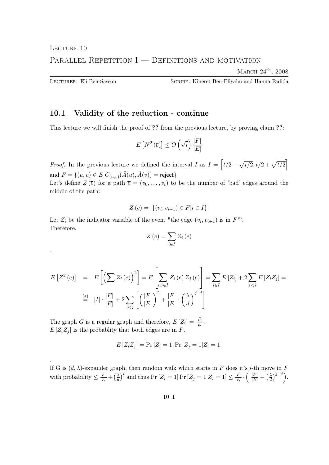# <span id="page-48-0"></span>LECTURE 10 PARALLEL REPETITION I — DEFINITIONS AND MOTIVATION

MARCH  $24<sup>th</sup>$ , 2008

.

.

Lecturer: Eli Ben-Sasson Scribe: Kineret Ben-Eliyahu and Hanna Fadida

# <span id="page-48-1"></span>10.1 Validity of the reduction - continue

This lecture we will finish the proof of ?? from the previous lecture, by proving claim ??:

$$
E\left[N^2\left(\overline{e}\right)\right] \leq O\left(\sqrt{t}\right)\frac{|F|}{|E|}
$$

*Proof.* In the previous lecture we defined the interval I as  $I = \left[ t/2 - \sqrt{t/2}, t/2 + \sqrt{t/2} \right]$ and  $F = \{(u, v) \in E | C_{(u, v)}(\hat{A}(u), \hat{A}(v)) = \textsf{reject}\}$ 

Let's define  $Z(\bar{e})$  for a path  $\bar{e} = (v_0, \ldots, v_t)$  to be the number of 'bad' edges around the middle of the path:

$$
Z(e) = |\{(v_i, v_{i+1}) \in F | i \in I\}|
$$

Let  $Z_i$  be the indicator variable of the event "the edge  $(v_i, v_{i+1})$  is in  $F$ ". Therefore,

$$
Z\left(e\right) = \sum_{i \in I} Z_i\left(e\right)
$$

$$
E[Z^{2}(e)] = E\left[\left(\sum Z_{i}(e)\right)^{2}\right] = E\left[\sum_{i,j\in I} Z_{i}(e) Z_{j}(e)\right] = \sum_{i\in I} E[Z_{i}] + 2 \sum_{i  
\n
$$
\stackrel{\text{(*)}}{=} |I| \cdot \frac{|F|}{|E|} + 2 \sum_{i
$$
$$

The graph *G* is a regular graph and therefore,  $E[Z_i] = \frac{|F|}{|E|}$ .  $E[Z_i Z_j]$  is the probablity that both edges are in F.

$$
E[Z_i Z_j] = \Pr[Z_i = 1] \Pr[Z_j = 1 | Z_i = 1]
$$

If G is  $(d, \lambda)$ -expander graph, then random walk which starts in F does it's *i*-th move in F with probability  $\leq \frac{|F|}{|E|} + \left(\frac{\lambda}{d}\right)$  $\frac{\lambda}{d}$ )<sup>*i*</sup> and thus Pr [Z<sub>i</sub> = 1] Pr [Z<sub>j</sub> = 1|Z<sub>i</sub> = 1]  $\leq \frac{|F|}{|E|}$  $\frac{|F|}{|E|}\cdot\left(\begin{array}{c} |F| \ \hline |E| \end{array}+\left(\frac{\lambda}{d}\right)$  $\frac{\lambda}{d}\big)^{j-i}\bigg).$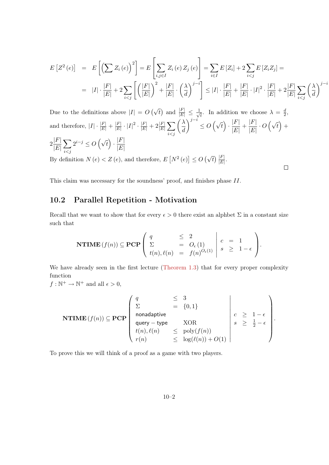$$
E\left[Z^{2}(e)\right] = E\left[\left(\sum Z_{i}(e)\right)^{2}\right] = E\left[\sum_{i,j\in I} Z_{i}(e) Z_{j}(e)\right] = \sum_{i\in I} E\left[Z_{i}\right] + 2\sum_{i  
\n
$$
= |I| \cdot \frac{|F|}{|E|} + 2\sum_{i
$$
$$

 $\Box$ 

Due to the definitions above  $|I| = O(\sqrt{t})$  and  $\frac{|F|}{|E|} \leq \frac{1}{\sqrt{t}}$  $\overline{t}$ . In addition we choose  $\lambda = \frac{d}{2}$  $\frac{d}{2}$ and therefore,  $|I| \cdot \frac{|F|}{|E|} + \frac{|F|}{|E|}$  $\frac{|F|}{|E|}\cdot |I|^2\cdot \frac{|F|}{|E|}+2\frac{|F|}{|E|}\sum$  $i < j$  $\bigwedge$ d  $\left(\sqrt{t}\right) \cdot \frac{|F|}{|F|}$  $\frac{|F|}{|E|} + \frac{|F|}{|E|}$  $\frac{|F|}{|E|} \cdot O(\sqrt{t}) +$  $2\frac{|F|}{|F|}$  $|E|$  $\sum$  $i < j$  $2^{i-j} \leq O\left(\sqrt{t}\right) \cdot \frac{|F|}{|F|}$  $|E|$ By definition  $N(e) < Z(e)$ , and therefore,  $E[N^2(e)] \leq O(\sqrt{t}) \frac{|F|}{|E|}$ .

This claim was necessary for the soundness' proof, and finishes phase II.

# <span id="page-49-0"></span>10.2 Parallel Repetition - Motivation

Recall that we want to show that for every  $\epsilon > 0$  there exist an alphbet  $\Sigma$  in a constant size such that

$$
\mathbf{NTIME}(f(n)) \subseteq \mathbf{PCP}\left(\begin{array}{ccc} q & \leq 2 \\ \Sigma & = O_{\epsilon}(1) \\ t(n), \ell(n) & = f(n)^{O_{\epsilon}(1)} \end{array} \middle| \begin{array}{ccc} c & = & 1 \\ s & \geq 1 - \epsilon \end{array}\right).
$$

We have already seen in the first lecture [\(Theorem 1.3\)](#page-6-1) that for every proper complexity function

 $f: \mathbb{N}^+ \to \mathbb{N}^+$  and all  $\epsilon > 0$ ,

$$
\textbf{NTIME}(f(n)) \subseteq \textbf{PCP} \begin{pmatrix} q & \leq 3 \\ \Sigma & = \{0, 1\} \\ \text{nonadaptive} \\ \text{query - type} & \text{XOR} \\ t(n), \ell(n) & \leq \text{poly}(f(n)) \\ r(n) & \leq \log(\ell(n)) + O(1) \end{pmatrix} \qquad c \geq 1 - \epsilon \\ s \geq \frac{1}{2} - \epsilon \\ \end{pmatrix}.
$$

To prove this we will think of a proof as a game with two players.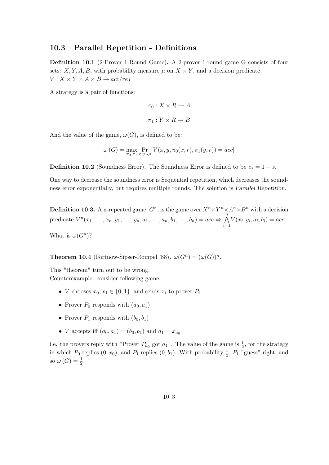#### <span id="page-50-0"></span>10.3 Parallel Repetition - Definitions

Definition 10.1 (2-Prover 1-Round Game). A 2-prover 1-round game G consists of four sets: X, Y, A, B, with probability measure  $\mu$  on  $X \times Y$ , and a decision predicate  $V: X \times Y \times A \times B \rightarrow acc/rej$ 

A strategy is a pair of functions:

$$
\pi_0: X \times R \to A
$$

$$
\pi_1: Y \times R \to B
$$

And the value of the game,  $\omega(G)$ , is defined to be:

$$
\omega(G) = \max_{\pi_0, \pi_1} \Pr_{x, y \sim \mu}[V(x, y, \pi_0(x, r), \pi_1(y, r))] = acc]
$$

**Definition 10.2** (Soundness Error). The Soundness Error is defined to be  $e_s = 1 - s$ .

One way to decrease the soundness error is Sequential repetition, which decreases the soundness error exponentially, but requires multiple rounds. The solution is Parallel Repetition.

**Definition 10.3.** A n-repeated game,  $G^n$ , is the game over  $X^n \times Y^n \times A^n \times B^n$  with a decision predicate  $V^n(x_1, \ldots, x_n, y_1, \ldots, y_n, a_1, \ldots, a_n, b_1, \ldots, b_n) = acc \Leftrightarrow \bigwedge^n$  $i=1$  $V(x_i, y_i, a_i, b_i) = acc$ 

What is  $\omega(G^n)$ ?

**Theorem 10.4** (Fortnow-Sipser-Rompel '88).  $\omega(G^n) = (\omega(G))^n$ .

This "theorem" turn out to be wrong. Counterexample: consider following game:

- *V* chooses  $x_0, x_1 \in \{0, 1\}$ , and sends  $x_i$  to prover  $P_i$
- Prover  $P_0$  responds with  $(a_0, a_1)$
- Prover  $P_1$  responds with  $(b_0, b_1)$
- *V* accepts iff  $(a_0, a_1) = (b_0, b_1)$  and  $a_1 = x_{a_0}$

i.e. the provers reply with "Prover  $P_{a_0}$  got  $a_1$ ". The value of the game is  $\frac{1}{2}$ , for the strategy in which  $P_0$  replies  $(0, x_0)$ , and  $P_1$  replies  $(0, b_1)$ . With probability  $\frac{1}{2}$ ,  $P_1$  "guess" right, and so  $\omega(G) = \frac{1}{2}$ .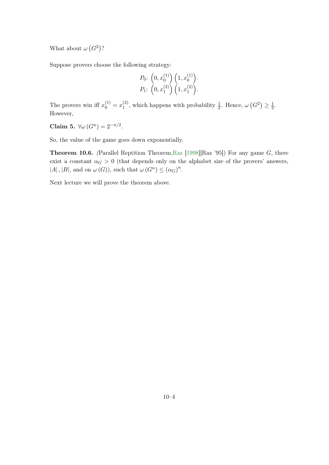What about  $\omega(G^2)$ ?

Suppose provers choose the following strategy:

$$
P_0: \left(0, x_0^{(1)}\right) \left(1, x_0^{(1)}\right). P_1: \left(0, x_1^{(2)}\right) \left(1, x_1^{(2)}\right).
$$

The provers win iff  $x_0^{(1)} = x_1^{(2)}$  $\frac{1}{1}$ , which happens with probability  $\frac{1}{2}$ . Hence,  $\omega(G^2) \geq \frac{1}{2}$  $rac{1}{2}$ . However,

Claim 5.  $\forall \omega(G^n) = 2^{-n/2}$ .

<span id="page-51-0"></span>So, the value of the game goes down exponentially.

**Theorem 10.6.** (Parallel Reptition Theorem, Raz [\[1998\]](#page-66-1)[Raz '95]) For any game G, there exist a constant  $\alpha_G > 0$  (that depends only on the alphabet size of the provers' answers,  $|A|, |B|$ , and on  $\omega(G)$ , such that  $\omega(G^n) \leq (\alpha_G)^n$ .

Next lecture we will prove the theorem above.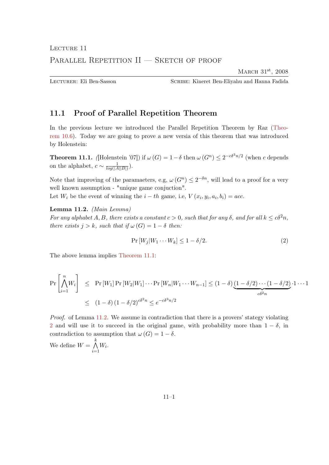# <span id="page-52-0"></span>LECTURE 11 PARALLEL REPETITION II — SKETCH OF PROOF

MARCH 31<sup>st</sup>, 2008

Lecturer: Eli Ben-Sasson Scribe: Kineret Ben-Eliyahu and Hanna Fadida

# <span id="page-52-1"></span>11.1 Proof of Parallel Repetition Theorem

In the previous lecture we introduced the Parallel Repetition Theorem by Raz [\(Theo](#page-51-0)[rem 10.6\)](#page-51-0). Today we are going to prove a new versia of this theorem that was introduced by Holenstein:

<span id="page-52-2"></span>**Theorem 11.1.** (Holenstein '07]) if  $\omega(G) = 1 - \delta$  then  $\omega(G^n) \leq 2^{-c\delta^3 n/2}$  (when c depends on the alphabet,  $c \sim \frac{1}{\log(1.4)}$  $\frac{1}{log(|A||B|)}$ ).

Note that improving of the paramaeters, e.g,  $\omega(G^n) \leq 2^{-\delta n}$ , will lead to a proof for a very well known assumption - "unique game conjuction".

<span id="page-52-3"></span>Let  $W_i$  be the event of winning the  $i-th$  game, i.e,  $V(x_i, y_i, a_i, b_i) = acc$ .

#### Lemma 11.2. (Main Lemma)

For any alphabet A, B, there exists a constant  $c > 0$ , such that for any  $\delta$ , and for all  $k \leq c\delta^2 n$ , there exists  $j > k$ , such that if  $\omega(G) = 1 - \delta$  then:

<span id="page-52-4"></span>
$$
\Pr\left[W_j|W_1\cdots W_k\right] \le 1 - \delta/2. \tag{2}
$$

The above lemma implies [Theorem 11.1:](#page-52-2)

$$
\Pr\left[\bigwedge_{i=1}^{n} W_i\right] \le \Pr\left[W_1\right] \Pr\left[W_2|W_1\right] \cdots \Pr\left[W_n|W_1\cdots W_{n-1}\right] \le (1-\delta)\underbrace{(1-\delta/2)\cdots(1-\delta/2)}_{c\delta^2 n} \cdot 1\cdots 1
$$
\n
$$
\le (1-\delta)\left(1-\delta/2\right)^{c\delta^2 n} \le e^{-c\delta^3 n/2}
$$

Proof. of Lemma [11.2.](#page-52-3) We assume in contradiction that there is a provers' stategy violating [2](#page-52-4) and will use it to succeed in the original game, with probability more than  $1 - \delta$ , in contradiction to assumption that  $\omega(G) = 1 - \delta$ .

We define  $W = \bigwedge^k$  $i=1$  $W_i$ .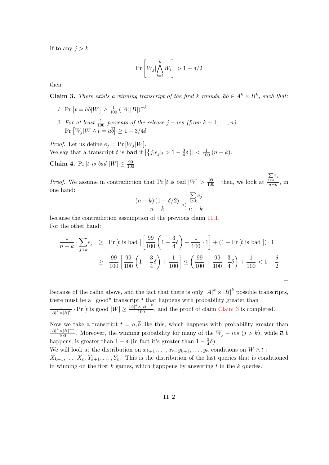If to any  $j > k$ 

$$
\Pr\left[W_j|\bigwedge_{i=1}^k W_i\right] > 1-\delta/2
$$

<span id="page-53-0"></span>then:

**Claim 3.** There exists a winning transcript of the first k rounds,  $\bar{a}\bar{b} \in A^k \times B^k$ , such that:

- 1. Pr  $[t = \bar{a}\bar{b}|W] \ge \frac{1}{100} (|A||B|)^{-k}$
- 2. For at least  $\frac{1}{100}$  percents of the release  $j i$ es (from  $k + 1, \ldots, n$ )  $\Pr[W_j|W \wedge \overline{t} = \overline{a}\overline{b}] \geq 1-3/4\delta$

*Proof.* Let us define  $e_j = Pr[W_j|W]$ . We say that a transcript t is **bad** if  $\left| \{ j | e_j | t \geq 1 - \frac{3}{4} \} \right|$  $\left|\frac{3}{4}\delta\right|\right| < \frac{1}{100}(n-k).$ 

Claim 4. Pr [t is bad  $|W| \leq \frac{99}{100}$ 100

*Proof.* We assume in contradiction that  $Pr[t]$  is bad  $|W| > \frac{99}{100}$ , then, we look at  $\sum_{j>k}e_j$  $\frac{n > k}{n-k}$ , in one hand:

$$
\frac{(n-k)(1-\delta/2)}{n-k} < \frac{\sum_{j>k} e_j}{n-k}
$$

because the contradiction assumption of the previous claim [11.1.](#page-52-4) For the other hand:

$$
\frac{1}{n-k} \cdot \sum_{j>k} e_j \ge \Pr[t \text{ is bad }] \left[ \frac{99}{100} \left( 1 - \frac{3}{4} \delta \right) + \frac{1}{100} \cdot 1 \right] + (1 - \Pr[t \text{ is bad }]) \cdot 1
$$
  

$$
\ge \frac{99}{100} \left[ \frac{99}{100} \left( 1 - \frac{3}{4} \delta \right) + \frac{1}{100} \right] \le \left( \frac{99}{100} - \frac{99}{100} \cdot \frac{3}{4} \delta \right) + \frac{1}{100} < 1 - \frac{\delta}{2}
$$

Because of the calim above, and the fact that there is only  $|A|^k \times |B|^k$  possible transcripts, there must be a "good" transcript  $t$  that happens with probability greater than  $\frac{1}{|A|^k \times |B|^k}$  · Pr  $[t \text{ is good } |W] \geq \frac{|A|^k \times |B|^{-k}}{100}$ , and the proof of claim [Claim 3](#page-53-0) is completed. 1  $\Box$ Now we take a transcript  $t = \overline{a}, \overline{b}$  like this, which happens with probability greater than  $\frac{|A|^k \times |B|^{-k}}{100}$ . Moreover, the winning probability for many of the  $W_j - i e s$   $(j > k)$ , while  $\overline{a}, \overline{b}$ happens, is greater than  $1 - \delta$  (in fact it's greater than  $1 - \frac{3}{4}$  $\frac{3}{4}\delta$ ). We will look at the distribution on  $x_{k+1}, \ldots, x_n, y_{k+1}, \ldots, y_n$  conditions on  $W \wedge t$ :  $\widetilde{X}_{k+1}, \ldots, \widetilde{X}_n, \widetilde{Y}_{k+1}, \ldots, \widetilde{Y}_n$ . This is the distribution of the last queries that is conditioned in winning on the first  $k$  games, which happpens by answering  $t$  in the  $k$  queries.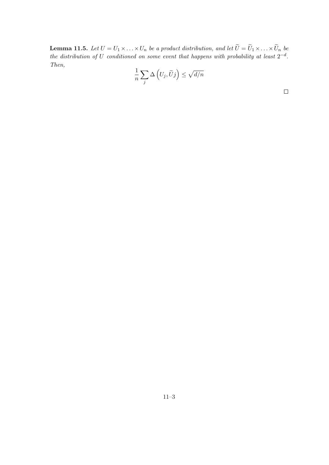**Lemma 11.5.** Let  $U = U_1 \times \ldots \times U_n$  be a product distribution, and let  $U = U_1 \times \ldots \times U_n$  be the distribution of U conditioned on some event that happens with probability at least  $2^{-d}$ . Then,

$$
\frac{1}{n}\sum_{j}\Delta\left(U_{j},\widetilde{U}j\right)\leq\sqrt{d/n}
$$

 $\Box$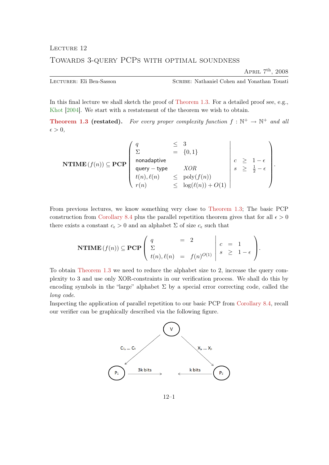APRIL  $7<sup>th</sup>$ , 2008

<span id="page-55-0"></span>Lecturer: Eli Ben-Sasson Scribe: Nathaniel Cohen and Yonathan Touati

In this final lecture we shall sketch the proof of [Theorem 1.3.](#page-6-1) For a detailed proof see, e.g., [Khot](#page-65-15) [\[2004\]](#page-65-15). We start with a restatement of the theorem we wish to obtain.

**[Theorem 1.3](#page-6-1) (restated).** For every proper complexity function  $f : \mathbb{N}^+ \to \mathbb{N}^+$  and all  $\epsilon > 0,$ 

$$
\textbf{NTIME}(f(n)) \subseteq \textbf{PCP}\left(\begin{array}{cccc} q & \leq & 3 \\ \Sigma & = & \{0,1\} \\ \text{nonadaptive} \\ \text{query-type} & XOR \\ t(n), \ell(n) & \leq & \text{poly}(f(n)) \\ r(n) & \leq & \text{log}(\ell(n)) + O(1) \end{array}\right) \left(\begin{array}{c} \\ c & \geq & 1 - \epsilon \\ s & \geq & \frac{1}{2} - \epsilon \\ \end{array}\right).
$$

From previous lectures, we know something very close to [Theorem 1.3;](#page-6-1) The basic PCP construction from [Corollary 8.4](#page-39-1) plus the parallel repetition theorem gives that for all  $\epsilon > 0$ there exists a constant  $c_{\epsilon} > 0$  and an alphabet  $\Sigma$  of size  $c_{\epsilon}$  such that

$$
\mathbf{NTIME}\left(f(n)\right) \subseteq \mathbf{PCP}\left(\begin{array}{ccc} q & = & 2 \\ \Sigma & & \\ t(n), \ell(n) & = & f(n)^{O(1)} \end{array} \middle| \begin{array}{ccc} c & = & 1 \\ s & \geq & 1 - \epsilon \end{array}\right).
$$

To obtain [Theorem 1.3](#page-6-1) we need to reduce the alphabet size to 2, increase the query complexity to 3 and use only XOR-constraints in our verification process. We shall do this by encoding symbols in the "large" alphabet  $\Sigma$  by a special error correcting code, called the long code.

Inspecting the application of parallel repetition to our basic PCP from [Corollary 8.4,](#page-39-1) recall our verifier can be graphically described via the following figure.

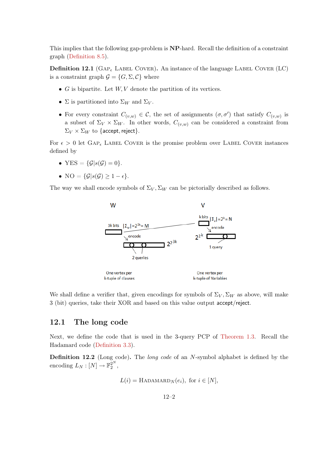This implies that the following gap-problem is NP-hard. Recall the definition of a constraint graph [\(Definition 8.5\)](#page-40-2).

**Definition 12.1** (GAP<sub> $\epsilon$ </sub> LABEL COVER). An instance of the language LABEL COVER (LC) is a constraint graph  $\mathcal{G} = \{G, \Sigma, \mathcal{C}\}\$  where

- $G$  is bipartite. Let  $W, V$  denote the partition of its vertices.
- $\Sigma$  is partitioned into  $\Sigma_W$  and  $\Sigma_V$ .
- For every constraint  $C_{(v,w)} \in \mathcal{C}$ , the set of assignments  $(\sigma, \sigma')$  that satisfy  $C_{(v,w)}$  is a subset of  $\Sigma_V \times \Sigma_W$ . In other words,  $C_{(v,w)}$  can be considered a constraint from  $\Sigma_V \times \Sigma_W$  to {accept, reject}.

For  $\epsilon > 0$  let  $GAP_{\epsilon}$  LABEL COVER is the promise problem over LABEL COVER instances defined by

- YES =  $\{\mathcal{G}|s(\mathcal{G})=0\}.$
- NO =  $\{\mathcal{G}|s(\mathcal{G}) \geq 1-\epsilon\}.$

The way we shall encode symbols of  $\Sigma_V$ ,  $\Sigma_W$  can be pictorially described as follows.



We shall define a verifier that, given encodings for symbols of  $\Sigma_V$ ,  $\Sigma_W$  as above, will make 3 (bit) queries, take their XOR and based on this value output accept/reject.

#### <span id="page-56-0"></span>12.1 The long code

Next, we define the code that is used in the 3-query PCP of [Theorem 1.3.](#page-6-1) Recall the Hadamard code [\(Definition 3.3\)](#page-14-0).

**Definition 12.2** (Long code). The *long code* of an N-symbol alphabet is defined by the encoding  $L_N : [N] \to \mathbb{F}_2^{2^N}$ ,

$$
L(i) = \text{HADAMARD}_N(e_i), \text{ for } i \in [N],
$$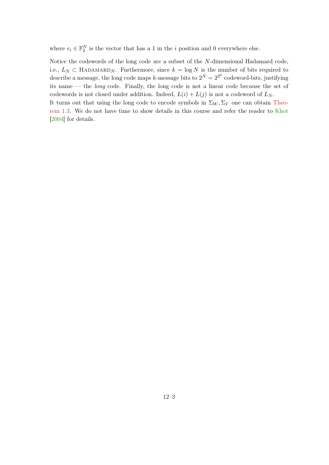where  $e_i \in \mathbb{F}_2^N$  is the vector that has a 1 in the *i* position and 0 everywhere else.

Notice the codewords of the long code are a subset of the N-dimensional Hadamard code, i.e.,  $L_N \subset \text{HADAMARD}_N$ . Furthermore, since  $k = \log N$  is the number of bits required to describe a message, the long code maps k-message bits to  $2^N = 2^{2^k}$  codeword-bits, justifying its name — the long code. Finally, the long code is not a linear code because the set of codewords is not closed under addition. Indeed,  $L(i) + L(j)$  is not a codeword of  $L_N$ . It turns out that using the long code to encode symbols in  $\Sigma_W$ ,  $\Sigma_V$  one can obtain [Theo-](#page-6-1)

[rem 1.3.](#page-6-1) We do not have time to show details in this course and refer the reader to [Khot](#page-65-15) [\[2004\]](#page-65-15) for details.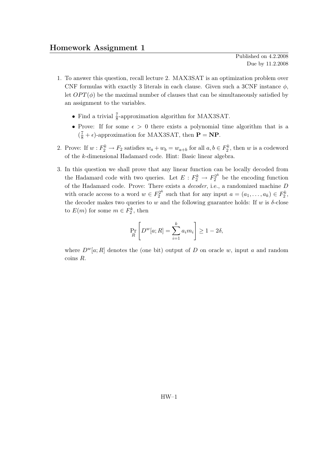Published on 4.2.2008 Due by 11.2.2008

- <span id="page-58-0"></span>1. To answer this question, recall lecture 2. MAX3SAT is an optimization problem over CNF formulas with exactly 3 literals in each clause. Given such a 3CNF instance  $\phi$ , let  $OPT(\phi)$  be the maximal number of clauses that can be simultaneously satisfied by an assignment to the variables.
	- Find a trivial  $\frac{7}{8}$ -approximation algorithm for MAX3SAT.
	- Prove: If for some  $\epsilon > 0$  there exists a polynomial time algorithm that is a  $(\frac{7}{8} + \epsilon)$ -approximation for MAX3SAT, then **P** = **NP**.
- 2. Prove: If  $w: F_2^k \to F_2$  satisfies  $w_a + w_b = w_{a+b}$  for all  $a, b \in F_2^k$ , then w is a codeword of the k-dimensional Hadamard code. Hint: Basic linear algebra.
- 3. In this question we shall prove that any linear function can be locally decoded from the Hadamard code with two queries. Let  $E: F_2^k \to F_2^{2^k}$  be the encoding function of the Hadamard code. Prove: There exists a decoder, i.e., a randomized machine D with oracle access to a word  $w \in F_2^{2^k}$  $S_2^{2^k}$  such that for any input  $a = (a_1, \ldots, a_k) \in F_2^k$ , the decoder makes two queries to w and the following guarantee holds: If w is  $\delta$ -close to  $E(m)$  for some  $m \in F_2^k$ , then

$$
\Pr_{R}\left[D^{w}[a;R] = \sum_{i=1}^{k} a_{i} m_{i}\right] \ge 1 - 2\delta,
$$

where  $D^{w}[a;R]$  denotes the (one bit) output of D on oracle w, input a and random coins R.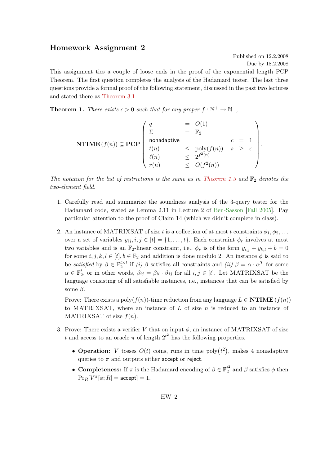# <span id="page-59-0"></span>Homework Assignment 2

Published on 12.2.2008 Due by 18.2.2008

.

This assignment ties a couple of loose ends in the proof of the exponential length PCP Theorem. The first question completes the analysis of the Hadamard tester. The last three questions provide a formal proof of the following statement, discussed in the past two lectures and stated there as [Theorem 3.1.](#page-13-2)

<span id="page-59-1"></span>**Theorem 1.** There exists  $\epsilon > 0$  such that for any proper  $f : \mathbb{N}^+ \to \mathbb{N}^+$ ,

$$
\textbf{NTIME}(f(n)) \subseteq \textbf{PCP}\left(\begin{array}{ccc} q & = & O(1) \\ \Sigma & = & \mathbb{F}_2 \\ \text{nonadaptive} \\ t(n) & \leq & \text{poly}(f(n)) \\ \ell(n) & \leq & 2^{f^2(n)} \\ r(n) & \leq & O(f^2(n)) \end{array}\right) \mid s \geq \epsilon
$$

The notation for the list of restrictions is the same as in [Theorem 1.3](#page-6-1) and  $\mathbb{F}_2$  denotes the two-element field.

- 1. Carefully read and summarize the soundness analysis of the 3-query tester for the Hadamard code, stated as Lemma 2.11 in Lecture 2 of [Ben-Sasson](#page-65-11) [\[Fall 2005\]](#page-65-11). Pay particular attention to the proof of Claim 14 (which we didn't complete in class).
- 2. An instance of MATRIXSAT of size t is a collection of at most t constraints  $\phi_1, \phi_2, \ldots$ over a set of variables  $y_{ij}, i, j \in [t] = \{1, \ldots, t\}$ . Each constraint  $\phi_r$  involves at most two variables and is an  $\mathbb{F}_2$ -linear constraint, i.e.,  $\phi_r$  is of the form  $y_{i,j} + y_{k,l} + b = 0$ for some  $i, j, k, l \in [t], b \in \mathbb{F}_2$  and addition is done modulo 2. An instance  $\phi$  is said to be satisfied by  $\beta \in \mathbb{F}_2^{t \times t}$  if (i)  $\beta$  satisfies all constraints and (ii)  $\beta = \alpha \cdot \alpha^T$  for some  $\alpha \in \mathbb{F}_2^t$ , or in other words,  $\beta_{ij} = \beta_{ii} \cdot \beta_{jj}$  for all  $i, j \in [t]$ . Let MATRIXSAT be the language consisting of all satisfiable instances, i.e., instances that can be satisfied by some  $\beta$ .

Prove: There exists a poly $(f(n))$ -time reduction from any language  $L \in \mathbf{NTIME}(f(n))$ to MATRIXSAT, where an instance of  $L$  of size  $n$  is reduced to an instance of MATRIXSAT of size  $f(n)$ .

- 3. Prove: There exists a verifier V that on input  $\phi$ , an instance of MATRIXSAT of size t and access to an oracle  $\pi$  of length  $2^{t^2}$  has the following properties.
	- Operation: V tosses  $O(t)$  coins, runs in time poly $(t^2)$ , makes 4 nonadaptive queries to  $\pi$  and outputs either accept or reject.
	- Completeness: If  $\pi$  is the Hadamard encoding of  $\beta \in \mathbb{F}_2^{\ell^2}$  $i_2^t$  and  $\beta$  satisfies  $\phi$  then  $\Pr_R[V^{\pi}[\phi; R] = \texttt{accept}] = 1.$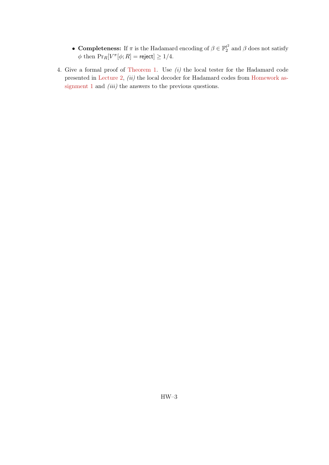- Completeness: If  $\pi$  is the Hadamard encoding of  $\beta \in \mathbb{F}_2^{\ell^2}$  $y_2^{t^2}$  and  $\beta$  does not satisfy  $\phi$  then  $\Pr_R[V^{\pi}[\phi; R] = \text{reject}] \ge 1/4.$
- 4. Give a formal proof of [Theorem 1.](#page-59-1) Use  $(i)$  the local tester for the Hadamard code presented in [Lecture 2,](#page-9-0)  $(ii)$  the local decoder for Hadamard codes from [Homework as](#page-58-0)[signment 1](#page-58-0) and *(iii)* the answers to the previous questions.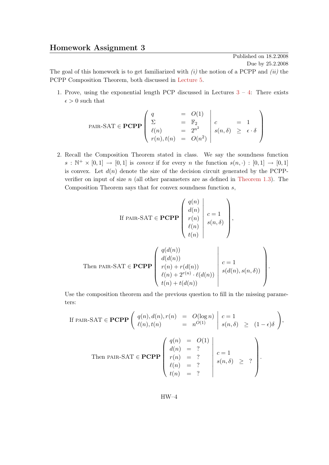# <span id="page-61-0"></span>Homework Assignment 3

Published on 18.2.2008 Due by 25.2.2008

The goal of this homework is to get familiarized with  $(i)$  the notion of a PCPP and  $(ii)$  the PCPP Composition Theorem, both discussed in [Lecture 5.](#page-24-0)

1. Prove, using the exponential length PCP discussed in Lectures  $3 - 4$  $3 - 4$ : There exists  $\epsilon > 0$  such that

$$
\text{PAIR-SAT} \in \mathbf{PCPP} \begin{pmatrix} q & = & O(1) \\ \Sigma & = & \mathbb{F}_2 \\ \ell(n) & = & 2^{n^2} \\ r(n), t(n) & = & O(n^2) \end{pmatrix} \begin{pmatrix} c & = & 1 \\ s(n, \delta) & \geq & \epsilon \cdot \delta \\ \end{pmatrix}
$$

2. Recall the Composition Theorem stated in class. We say the soundness function  $s : \mathbb{N}^+ \times [0,1] \to [0,1]$  is convex if for every n the function  $s(n, \cdot) : [0,1] \to [0,1]$ is convex. Let  $d(n)$  denote the size of the decision circuit generated by the PCPPverifier on input of size  $n$  (all other parameters are as defined in [Theorem 1.3\)](#page-6-1). The Composition Theorem says that for convex soundness function  $s$ ,

If PAIR-SAT 
$$
\in
$$
 PCPP  $\left( \begin{array}{c} q(n) \\ d(n) \\ r(n) \\ \ell(n) \\ t(n) \end{array} \right| c = 1$ 

Then 
$$
\text{PAIR-SAT} \in \mathbf{PCPP}
$$
 
$$
\begin{pmatrix} q(d(n)) \\ d(d(n)) \\ r(n) + r(d(n)) \\ \ell(n) + 2^{r(n)} \cdot \ell(d(n)) \\ t(n) + t(d(n)) \end{pmatrix} c = 1 \quad s(d(n), s(n, \delta))
$$

Use the composition theorem and the previous question to fill in the missing parameters:

If PAR-SAT 
$$
\in
$$
 **PCPP**  $\begin{pmatrix} q(n), d(n), r(n) = O(\log n) \ \ell(n), t(n) = n^{O(1)} \end{pmatrix} \begin{pmatrix} c = 1 \ s(n, \delta) \ge (1 - \epsilon)\delta \end{pmatrix}$ ,  
\nThen PAR-SAT  $\in$  **PCPP**  $\begin{pmatrix} q(n) = O(1) \ d(n) = ? \ r(n) = ? \ \ell(n) = ? \ t(n) = ? \end{pmatrix} \begin{pmatrix} c = 1 \ s(n, \delta) \ge ? \ t(n) = ? \end{pmatrix}$ .

HW–4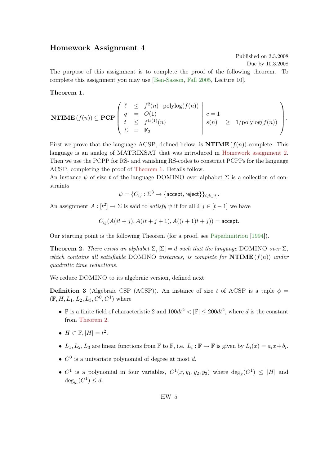<span id="page-62-0"></span>The purpose of this assignment is to complete the proof of the following theorem. To complete this assignment you may use [\[Ben-Sasson,](#page-65-11) [Fall 2005,](#page-65-11) Lecture 10].

#### <span id="page-62-2"></span>Theorem 1.

$$
\mathbf{NTIME}(f(n)) \subseteq \mathbf{PCP}\left(\begin{array}{ccc} \ell & \leq & f^{2}(n) \cdot \mathrm{polylog}(f(n)) \\ q & = & O(1) \\ t & \leq & f^{O(1)}(n) \\ \Sigma & = & \mathbb{F}_{2} \end{array}\right) \begin{array}{c} c = 1 \\ s(n) & \geq & 1/\mathrm{polylog}(f(n)) \\ \end{array}\right).
$$

First we prove that the language ACSP, defined below, is  $\mathbf{NTIME}(f(n))$ -complete. This language is an analog of MATRIXSAT that was introduced in [Homework assignment 2.](#page-59-0) Then we use the PCPP for RS- and vanishing RS-codes to construct PCPPs for the language ACSP, completing the proof of [Theorem 1.](#page-62-2) Details follow.

An instance  $\psi$  of size t of the language DOMINO over alphabet  $\Sigma$  is a collection of constraints

$$
\psi = \{C_{ij} : \Sigma^3 \to \{\text{accept}, \text{reject}\}\}_{i,j \in [t]}.
$$

An assignment  $A: [t^2] \to \Sigma$  is said to *satisfy*  $\psi$  if for all  $i, j \in [t-1]$  we have

$$
C_{ij}(A(it+j), A(it+j+1), A((i+1)t+j)) = \text{accept}.
$$

Our starting point is the following Theorem (for a proof, see [Papadimitriou](#page-66-9) [\[1994\]](#page-66-9)).

<span id="page-62-1"></span>**Theorem 2.** There exists an alphabet  $\Sigma$ ,  $|\Sigma| = d$  such that the language DOMINO over  $\Sigma$ , which contains all satisfiable DOMINO instances, is complete for  $\mathbf{NTIME}(f(n))$  under quadratic time reductions.

We reduce DOMINO to its algebraic version, defined next.

**Definition 3** (Algebraic CSP (ACSP)). An instance of size t of ACSP is a tuple  $\phi$  =  $(\mathbb{F}, H, L_1, L_2, L_3, C^0, C^1)$  where

- F is a finite field of characteristic 2 and  $100dt^2 < |\mathbb{F}| \le 200dt^2$ , where d is the constant from [Theorem 2.](#page-62-1)
- $H \subset \mathbb{F}, |H| = t^2$ .
- $L_1, L_2, L_3$  are linear functions from  $\mathbb F$  to  $\mathbb F$ , i.e.  $L_i : \mathbb F \to \mathbb F$  is given by  $L_i(x) = a_i x + b_i$ .
- $C^0$  is a univariate polynomial of degree at most d.
- $C^1$  is a polynomial in four variables,  $C^1(x, y_1, y_2, y_3)$  where  $\deg_x(C^1) \leq |H|$  and  $\deg_{y_i}(C^1) \leq d.$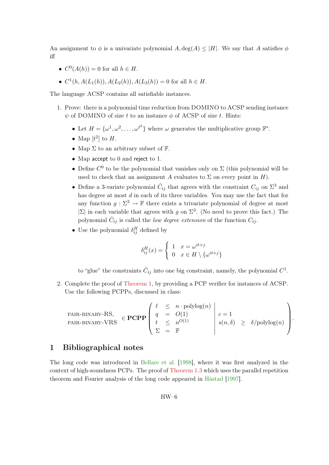An assignment to  $\phi$  is a univariate polynomial A, deg(A)  $\leq$  |H|. We say that A satisfies  $\phi$ iff

- $C^0(A(h)) = 0$  for all  $h \in H$ .
- $C^1(h, A(L_1(h)), A(L_2(h)), A(L_3(h)) = 0$  for all  $h \in H$ .

The language ACSP contains all satisfiable instances.

- 1. Prove: there is a polynomial time reduction from DOMINO to ACSP sending instance  $\psi$  of DOMINO of size t to an instance  $\phi$  of ACSP of size t. Hints:
	- Let  $H = {\omega^1, \omega^2, \ldots, \omega^{t^2}}$  where  $\omega$  generates the multiplicative group  $\mathbb{F}^*$ .
	- Map  $[t^2]$  to  $H$ .
	- Map  $\Sigma$  to an arbitrary subset of  $\mathbb{F}$ .
	- Map accept to 0 and reject to 1.
	- Define  $C^0$  to be the polynomial that vanishes only on  $\Sigma$  (this polynomial will be used to check that an assignment A evaluates to  $\Sigma$  on every point in H).
	- Define a 3-variate polynomial  $\hat{C}_{ij}$  that agrees with the constraint  $C_{ij}$  on  $\Sigma^3$  and has degree at most d in each of its three variables. You may use the fact that for any function  $g: \Sigma^3 \to \mathbb{F}$  there exists a trivariate polynomial of degree at most  $|\Sigma|$  in each variable that agrees with g on  $\Sigma^3$ . (No need to prove this fact.) The polynomial  $\hat{C}_{ij}$  is called the *low degree extension* of the function  $C_{ij}$ .
	- Use the polynomial  $\delta_{ij}^H$  defined by

$$
\delta_{ij}^{H}(x) = \begin{cases} 1 & x = \omega^{it+j} \\ 0 & x \in H \setminus \{\omega^{it+j}\} \end{cases}
$$

to "glue" the constraints  $\hat{C}_{ij}$  into one big constraint, namely, the polynomial  $C^1$ .

2. Complete the proof of [Theorem 1,](#page-62-2) by providing a PCP verifier for instances of ACSP. Use the following PCPPs, discussed in class:

$$
\text{PAIR-BINARY-RS,} \quad \in \mathbf{PCPP} \left( \begin{array}{ccc} \ell & \leq & n \cdot \text{polylog}(n) \\ q & = & O(1) \\ t & \leq & n^{O(1)} \\ \Sigma & = & \mathbb{F} \end{array} \right) \begin{array}{l} c = 1 \\ s(n, \delta) & \geq & \delta/\text{polylog}(n) \\ \end{array} \right).
$$

# <span id="page-63-0"></span>1 Bibliographical notes

The long code was introduced in [Bellare et al.](#page-65-6) [\[1998\]](#page-65-6), where it was first analyzed in the context of high-soundness PCPs. The proof of [Theorem 1.3](#page-6-1) which uses the parallel repetition theorem and Fourier analysis of the long code appeared in [Håstad](#page-65-5) [\[1997\]](#page-65-5).

HW–6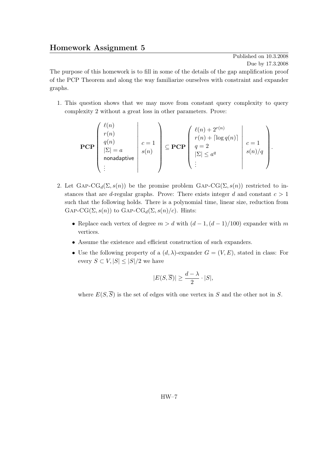# <span id="page-64-0"></span>Homework Assignment 5

Published on 10.3.2008 Due by 17.3.2008

The purpose of this homework is to fill in some of the details of the gap amplification proof of the PCP Theorem and along the way familiarize ourselves with constraint and expander graphs.

1. This question shows that we may move from constant query complexity to query complexity 2 without a great loss in other parameters. Prove:

$$
\mathbf{PCP}\left(\begin{array}{c} \ell(n) \\ r(n) \\ q(n) \\ |\Sigma| = a \\ \text{nonadaptive} \\ \vdots \end{array}\right) c = 1 \right) \subseteq \mathbf{PCP}\left(\begin{array}{c} \ell(n) + 2^{r(n)} \\ r(n) + \lceil \log q(n) \rceil \\ q = 2 \\ |\Sigma| \le a^q \\ \vdots \end{array}\right) c = 1 \quad s(n)/q
$$

- 2. Let  $\text{GAP-CG}_d(\Sigma, s(n))$  be the promise problem  $\text{GAP-CG}(\Sigma, s(n))$  restricted to instances that are d-regular graphs. Prove: There exists integer d and constant  $c > 1$ such that the following holds. There is a polynomial time, linear size, reduction from  $GAP-CG(\Sigma, s(n))$  to  $GAP-CG<sub>d</sub>(\Sigma, s(n)/c)$ . Hints:
	- Replace each vertex of degree  $m > d$  with  $(d-1,(d-1)/100)$  expander with m vertices.
	- Assume the existence and efficient construction of such expanders.
	- Use the following property of a  $(d, \lambda)$ -expander  $G = (V, E)$ , stated in class: For every  $S \subset V, |S| \leq |S|/2$  we have

$$
|E(S, \overline{S})| \geq \frac{d - \lambda}{2} \cdot |S|,
$$

where  $E(S,\overline{S})$  is the set of edges with one vertex in S and the other not in S.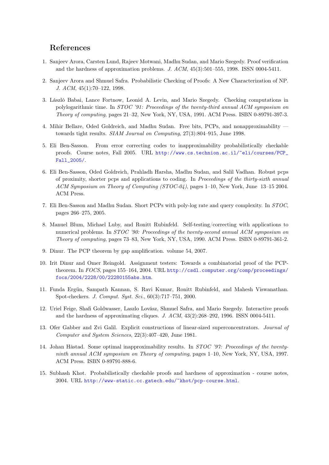# <span id="page-65-0"></span>References

- <span id="page-65-1"></span>1. Sanjeev Arora, Carsten Lund, Rajeev Motwani, Madhu Sudan, and Mario Szegedy. Proof verification and the hardness of approximation problems. J. ACM, 45(3):501–555, 1998. ISSN 0004-5411.
- <span id="page-65-2"></span>2. Sanjeev Arora and Shmuel Safra. Probabilistic Checking of Proofs: A New Characterization of NP. J. ACM, 45(1):70–122, 1998.
- <span id="page-65-3"></span>3. László Babai, Lance Fortnow, Leonid A. Levin, and Mario Szegedy. Checking computations in polylogarithmic time. In STOC '91: Proceedings of the twenty-third annual ACM symposium on Theory of computing, pages 21–32, New York, NY, USA, 1991. ACM Press. ISBN 0-89791-397-3.
- <span id="page-65-6"></span>4. Mihir Bellare, Oded Goldreich, and Madhu Sudan. Free bits, PCPs, and nonapproximability towards tight results. SIAM Journal on Computing, 27(3):804–915, June 1998.
- <span id="page-65-11"></span>5. Eli Ben-Sasson. From error correcting codes to inapproximability probabilistically checkable proofs. Course notes, Fall 2005. URL [http://www.cs.technion.ac.il/~eli/courses/PCP\\_](http://www.cs.technion.ac.il/~eli/courses/PCP_Fall_2005/) [Fall\\_2005/](http://www.cs.technion.ac.il/~eli/courses/PCP_Fall_2005/).
- <span id="page-65-9"></span>6. Eli Ben-Sasson, Oded Goldreich, Prahladh Harsha, Madhu Sudan, and Salil Vadhan. Robust pcps of proximity, shorter pcps and applications to coding. In Proceedings of the thirty-sixth annual ACM Symposium on Theory of Computing (STOC-04), pages 1–10, New York, June 13–15 2004. ACM Press.
- <span id="page-65-8"></span>7. Eli Ben-Sasson and Madhu Sudan. Short PCPs with poly-log rate and query complexity. In STOC, pages 266–275, 2005.
- <span id="page-65-12"></span>8. Manuel Blum, Michael Luby, and Ronitt Rubinfeld. Self-testing/correcting with applications to numerical problems. In STOC '90: Proceedings of the twenty-second annual ACM symposium on Theory of computing, pages 73–83, New York, NY, USA, 1990. ACM Press. ISBN 0-89791-361-2.
- <span id="page-65-7"></span>9. Dinur. The PCP theorem by gap amplification. volume 54, 2007.
- <span id="page-65-10"></span>10. Irit Dinur and Omer Reingold. Assignment testers: Towards a combinatorial proof of the PCPtheorem. In FOCS, pages 155–164, 2004. URL [http://csdl.computer.org/comp/proceedings/](http://csdl.computer.org/comp/proceedings/focs/2004/2228/00/22280155abs.htm) [focs/2004/2228/00/22280155abs.htm](http://csdl.computer.org/comp/proceedings/focs/2004/2228/00/22280155abs.htm).
- <span id="page-65-13"></span>11. Funda Ergün, Sampath Kannan, S. Ravi Kumar, Ronitt Rubinfeld, and Mahesh Viswanathan. Spot-checkers. J. Comput. Syst. Sci., 60(3):717–751, 2000.
- <span id="page-65-4"></span>12. Uriel Feige, Shafi Goldwasser, Laszlo Lovász, Shmuel Safra, and Mario Szegedy. Interactive proofs and the hardness of approximating cliques. J.  $ACM$ ,  $43(2):268-292$ , 1996. ISSN 0004-5411.
- <span id="page-65-14"></span>13. Ofer Gabber and Zvi Galil. Explicit constructions of linear-sized superconcentrators. Journal of Computer and System Sciences, 22(3):407–420, June 1981.
- <span id="page-65-5"></span>14. Johan Håstad. Some optimal inapproximability results. In STOC '97: Proceedings of the twentyninth annual ACM symposium on Theory of computing, pages 1–10, New York, NY, USA, 1997. ACM Press. ISBN 0-89791-888-6.
- <span id="page-65-15"></span>15. Subhash Khot. Probabilistically checkable proofs and hardness of approximation - course notes, 2004. URL <http://www-static.cc.gatech.edu/~khot/pcp-course.html>.